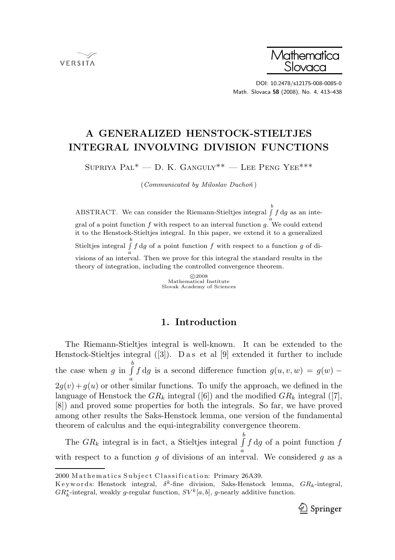**VERSITA** 



DOI: 10.2478/s12175-008-0085-0 Math. Slovaca 58 (2008), No. 4, 413–438

# A GENERALIZED HENSTOCK-STIELTJES INTEGRAL INVOLVING DIVISION FUNCTIONS

SUPRIYA  $PAL^*$  — D. K. GANGULY<sup>\*\*</sup> — LEE PENG YEE<sup>\*\*\*</sup>

 $(Communicated\; by\; Miloslav\; Duchoñ)$ 

ABSTRACT. We can consider the Riemann-Stieltjes integral  $\int_a^b f \, dg$  as an integral of a point function  $f$  with respect to an interval function  $g$ . We could extend it to the Henstock-Stieltjes integral. In this paper, we extend it to a generalized Stieltjes integral  $\int f dg$  of a point function f with respect to a function g of dia visions of an interval. Then we prove for this integral the standard results in the theory of integration, including the controlled convergence theorem.

> c 2008 Mathematical Institute Slovak Academy of Sciences

# 1. Introduction

The Riemann-Stieltjes integral is well-known. It can be extended to the Henstock-Stieltjes integral  $([3])$ . D a s et al  $[9]$  extended it further to include the case when g in  $\int_a^b$ a f dg is a second difference function  $g(u, v, w) = g(w)$  –  $2g(v) + g(u)$  or other similar functions. To unify the approach, we defined in the language of Henstock the  $GR_k$  integral ([6]) and the modified  $GR_k$  integral ([7], [8]) and proved some properties for both the integrals. So far, we have proved among other results the Saks-Henstock lemma, one version of the fundamental theorem of calculus and the equi-integrability convergence theorem.

The  $GR_k$  integral is in fact, a Stieltjes integral  $\int_a^b$ with respect to a function g of divisions of an interval. We considered g as a  $f \, dg$  of a point function  $f$ 

Keywords: Henstock integral,  $\delta^k$ -fine division, Saks-Henstock lemma,  $GR_k$ -integral,  $GR_k^*$ -integral, weakly g-regular function,  $SV^k[a, b]$ , g-nearly additive function.



<sup>2000</sup> Mathematics Subject Classification: Primary 26A39.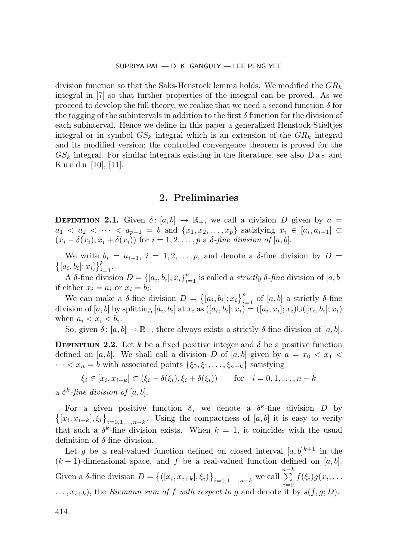division function so that the Saks-Henstock lemma holds. We modified the  $GR_k$ integral in [7] so that further properties of the integral can be proved. As we proceed to develop the full theory, we realize that we need a second function  $\delta$  for the tagging of the subintervals in addition to the first  $\delta$  function for the division of each subinterval. Hence we define in this paper a generalized Henstock-Stieltjes integral or in symbol  $GS_k$  integral which is an extension of the  $GR_k$  integral and its modified version; the controlled convergence theorem is proved for the  $GS_k$  integral. For similar integrals existing in the literature, see also D a s and  $K$  u n d u [10], [11].

# 2. Preliminaries

**DEFINITION 2.1.** Given  $\delta$ :  $[a, b] \rightarrow \mathbb{R}_+$ , we call a division D given by  $a =$  $a_1 < a_2 < \cdots < a_{p+1} = b$  and  $\{x_1, x_2, \ldots, x_p\}$  satisfying  $x_i \in [a_i, a_{i+1}] \subset$  $(x_i - \delta(x_i), x_i + \delta(x_i))$  for  $i = 1, 2, \ldots, p$  a  $\delta$ -fine division of [a, b].

We write  $b_i = a_{i+1}, i = 1, 2, ..., p$ , and denote a  $\delta$ -fine division by  $D =$  $[a_i, b_i]; x_i] \}_{i=1}^p$ .

A  $\delta$ -fine division  $D = \{ [a_i, b_i]; x_i \}_{i=1}^p$  is called a *strictly*  $\delta$ *-fine* division of  $[a, b]$ if either  $x_i = a_i$  or  $x_i = b_i$ .

We can make a  $\delta$ -fine division  $D = \{[a_i, b_i]; x_i\}_{i=1}^p$  of  $[a, b]$  a strictly  $\delta$ -fine division of  $[a, b]$  by splitting  $[a_i, b_i]$  at  $x_i$  as  $([a_i, b_i]; x_i) = ([a_i, x_i]; x_i) \cup ([x_i, b_i]; x_i)$ when  $a_i < x_i < b_i$ .

So, given  $\delta$ :  $[a, b] \to \mathbb{R}_+$ , there always exists a strictly  $\delta$ -fine division of  $[a, b]$ .

**DEFINITION 2.2.** Let k be a fixed positive integer and  $\delta$  be a positive function defined on [a, b]. We shall call a division D of [a, b] given by  $a = x_0 < x_1$  $\cdots < x_n = b$  with associated points  $\{\xi_0, \xi_1, \ldots, \xi_{n-k}\}$  satisfying

 $\xi_i \in [x_i, x_{i+k}] \subset (\xi_i - \delta(\xi_i), \xi_i + \delta(\xi_i))$  for  $i = 0, 1, ..., n-k$ 

a  $\delta^k$ -fine division of  $[a, b]$ .

For a given positive function  $\delta$ , we denote a  $\delta^k$ -fine division D by  $\{(x_i, x_{i+k}), \xi_i\}_{i=0,1,\dots,n-k}$ . Using the compactness of  $[a, b]$  it is easy to verify that such a  $\delta^k$ -fine division exists. When  $k = 1$ , it coincides with the usual definition of  $\delta$ -fine division.

Let g be a real-valued function defined on closed interval  $[a, b]^{k+1}$  in the  $(k + 1)$ -dimensional space, and f be a real-valued function defined on [a, b]. Given a  $\delta$ -fine division  $D = \{([x_i, x_{i+k}], \xi_i)\}_{i=0,1,\ldots,n-k}$  we call  $\sum_{k=0}^{n-k}$  $\sum_{i=0} f(\xi_i) g(x_i,\ldots)$  $\dots, x_{i+k}$ , the *Riemann sum of f with respect to g* and denote it by  $s(f, g; D)$ .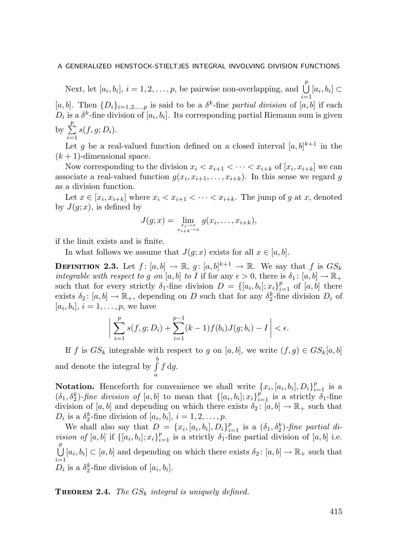Next, let  $[a_i, b_i], i = 1, 2, ..., p$ , be pairwise non-overlapping, and  $\bigcup^{p}$  $\frac{i=1}{i}$  $[a_i, b_i] \subset$ [a, b]. Then  $\{D_i\}_{i=1,2,...,p}$  is said to be a  $\delta^k$ -fine partial division of [a, b] if each  $D_i$  is a  $\delta^k$ -fine division of  $[a_i, b_i]$ . Its corresponding partial Riemann sum is given by  $\sum_{i=1}^{p}$  $\sum_{i=1}^s s(f,g;D_i).$ 

Let g be a real-valued function defined on a closed interval  $[a, b]^{k+1}$  in the  $(k+1)$ -dimensional space.

Now corresponding to the division  $x_i < x_{i+1} < \cdots < x_{i+k}$  of  $[x_i, x_{i+k}]$  we can associate a real-valued function  $g(x_i, x_{i+1},..., x_{i+k})$ . In this sense we regard g as a division function.

Let  $x \in [x_i, x_{i+k}]$  where  $x_i < x_{i+1} < \cdots < x_{i+k}$ . The jump of g at x, denoted by  $J(q; x)$ , is defined by

$$
J(g; x) = \lim_{\substack{x_i \to x \\ x_{i+k} \to x}} g(x_i, \dots, x_{i+k}),
$$

if the limit exists and is finite.

In what follows we assume that  $J(g; x)$  exists for all  $x \in [a, b]$ .

**DEFINITION 2.3.** Let  $f: [a, b] \to \mathbb{R}$ ,  $g: [a, b]^{k+1} \to \mathbb{R}$ . We say that  $f$  is  $GS_k$ integrable with respect to g on [a, b] to I if for any  $\epsilon > 0$ , there is  $\delta_1 : [a, b] \to \mathbb{R}_+$ such that for every strictly  $\delta_1$ -fine division  $D = \{[a_i, b_i]; x_i\}_{i=1}^p$  of  $[a, b]$  there exists  $\delta_2$ :  $[a, b] \to \mathbb{R}_+$ , depending on D such that for any  $\delta_2^k$ -fine division  $D_i$  of  $[a_i, b_i], i = 1, \ldots, p$ , we have

$$
\bigg|\sum_{i=1}^p s(f,g; D_i) + \sum_{i=1}^{p-1} (k-1)f(b_i)J(g; b_i) - I\bigg| < \epsilon.
$$

If f is  $GS_k$  integrable with respect to g on [a, b], we write  $(f,g) \in GS_k[a,b]$ and denote the integral by  $\int_a^b$ a  $f \, dg$ .

**Notation.** Henceforth for convenience we shall write  $\{x_i, [a_i, b_i], D_i\}_{i=1}^p$  is a  $(\delta_1, \delta_2^k)$ -fine division of  $[a, b]$  to mean that  $\{[a_i, b_i]; x_i\}_{i=1}^p$  is a strictly  $\delta_1$ -fine division of [a, b] and depending on which there exists  $\delta_2$ : [a, b]  $\rightarrow \mathbb{R}_+$  such that  $D_i$  is a  $\delta_2^k$ -fine division of  $[a_i, b_i], i = 1, 2, \ldots, p$ .

We shall also say that  $D = \{x_i, [a_i, b_i], D_i\}_{i=1}^p$  is a  $(\delta_1, \delta_2^k)$ -fine partial division of [a, b] if  $\{[a_i, b_i]; x_i\}_{i=1}^p$  is a strictly  $\delta_1$ -fine partial division of [a, b] i.e.  $\begin{bmatrix} p \\ \end{bmatrix}$  $\bigcup_{i=1}^{r} [a_i, b_i] \subset [a, b]$  and depending on which there exists  $\delta_2 : [a, b] \to \mathbb{R}_+$  such that  $D_i$  is a  $\delta_2^k$ -fine division of  $[a_i, b_i]$ .

**THEOREM 2.4.** The  $GS_k$  integral is uniquely defined.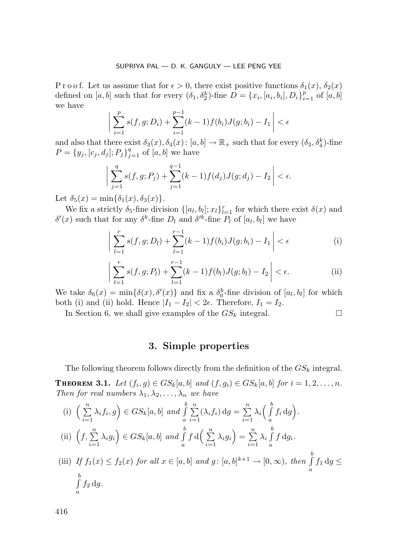P r o o f. Let us assume that for  $\epsilon > 0$ , there exist positive functions  $\delta_1(x)$ ,  $\delta_2(x)$ defined on  $[a, b]$  such that for every  $(\delta_1, \delta_2^k)$ -fine  $D = \{x_i, [a_i, b_i], D_i\}_{i=1}^p$  of  $[a, b]$ we have

$$
\left| \sum_{i=1}^{p} s(f, g; D_i) + \sum_{i=1}^{p-1} (k-1) f(b_i) J(g; b_i) - I_1 \right| < \epsilon
$$

and also that there exist  $\delta_3(x)$ ,  $\delta_4(x)$ :  $[a, b] \to \mathbb{R}_+$  such that for every  $(\delta_3, \delta_4^k)$ -fine  $P = \{y_j, [c_j, d_j]; P_j\}_{j=1}^q$  of  $[a, b]$  we have

$$
\sum_{j=1}^{q} s(f,g; P_j) + \sum_{j=1}^{q-1} (k-1) f(d_j) J(g; d_j) - I_2 \Big| < \epsilon.
$$

Let  $\delta_5(x) = \min{\{\delta_1(x), \delta_3(x)\}}$ .

 $\begin{array}{c} \end{array}$  $\overline{\phantom{a}}$  $\overline{\phantom{a}}$  $\overline{\phantom{a}}$ 

We fix a strictly  $\delta_5$ -fine division  $\{[a_l, b_l]; x_l\}_{l=1}^r$  for which there exist  $\delta(x)$  and  $\delta'(x)$  such that for any  $\delta^k$ -fine  $D_l$  and  $\delta'^k$ -fine  $P_l$  of  $[a_l, b_l]$  we have

$$
\left| \sum_{l=1}^{r} s(f,g; D_l) + \sum_{l=1}^{r-1} (k-1) f(b_i) J(g; b_i) - I_1 \right| < \epsilon \tag{i}
$$

$$
\left| \sum_{l=1}^{r} s(f, g; P_l) + \sum_{l=1}^{r-1} (k-1) f(b_l) J(g; b_l) - I_2 \right| < \epsilon.
$$
 (ii)

We take  $\delta_6(x) = \min{\{\delta(x), \delta'(x)\}}$  and fix a  $\delta_6^k$ -fine division of  $[a_l, b_l]$  for which both (i) and (ii) hold. Hence  $|I_1 - I_2| < 2\epsilon$ . Therefore,  $I_1 = I_2$ .

In Section 6, we shall give examples of the  $GS_k$  integral.

# 3. Simple properties

The following theorem follows directly from the definition of the  $GS_k$  integral. **THEOREM 3.1.** Let  $(f_i, g) \in GS_k[a, b]$  and  $(f, g_i) \in GS_k[a, b]$  for  $i = 1, 2, \ldots, n$ . Then for real numbers  $\lambda_1, \lambda_2, \ldots, \lambda_n$  we have

(i) 
$$
\left(\sum_{i=1}^{n} \lambda_i f_i, g\right) \in GS_k[a, b]
$$
 and  $\int_a^b \sum_{i=1}^n (\lambda_i f_i) dg = \sum_{i=1}^n \lambda_i \left(\int_a^b f_i dg\right)$ .  
\n(ii)  $\left(f, \sum_{i=1}^n \lambda_i g_i\right) \in GS_k[a, b]$  and  $\int_a^b f d\left(\sum_{i=1}^n \lambda_i g_i\right) = \sum_{i=1}^n \lambda_i \int_a^b f dg_i$ .  
\n(iii) If  $f_1(x) \le f_2(x)$  for all  $x \in [a, b]$  and  $g: [a, b]^{k+1} \to [0, \infty)$ , then  $\int_a^b f_1 dg \le \int_a^b f_2 dg$ .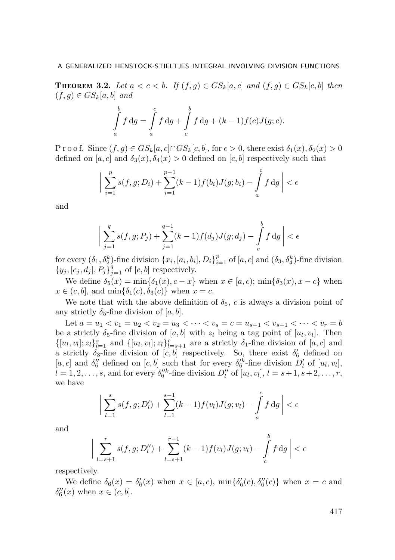**THEOREM 3.2.** Let  $a < c < b$ . If  $(f, g) \in G S_k[a, c]$  and  $(f, g) \in G S_k[c, b]$  then  $(f,g) \in GS_k[a,b]$  and

$$
\int_{a}^{b} f \, dg = \int_{a}^{c} f \, dg + \int_{c}^{b} f \, dg + (k-1)f(c)J(g;c).
$$

P r o o f. Since  $(f,g) \in GS_k[a,c] \cap GS_k[c,b]$ , for  $\epsilon > 0$ , there exist  $\delta_1(x), \delta_2(x) > 0$ defined on [a, c] and  $\delta_3(x)$ ,  $\delta_4(x) > 0$  defined on [c, b] respectively such that

$$
\bigg| \sum_{i=1}^{p} s(f,g; D_i) + \sum_{i=1}^{p-1} (k-1) f(b_i) J(g; b_i) - \int_{a}^{c} f \, dg \bigg| < \epsilon
$$

and

 $\overline{\phantom{a}}$  $\overline{\phantom{a}}$ I  $\overline{\phantom{a}}$ 

$$
\sum_{j=1}^{q} s(f, g; P_j) + \sum_{j=1}^{q-1} (k-1) f(d_j) J(g; d_j) - \int_{c}^{b} f \, dg \bigg| < \epsilon
$$

for every  $(\delta_1, \delta_2^k)$ -fine division  $\{x_i, [a_i, b_i], D_i\}_{i=1}^p$  of  $[a, c]$  and  $(\delta_3, \delta_4^k)$ -fine division  ${y_j, [c_j, d_j], P_j}_{j=1}^q$  of  $[c, b]$  respectively.

We define  $\delta_5(x) = \min{\delta_1(x), c - x}$  when  $x \in [a, c)$ ;  $\min{\delta_3(x), x - c}$  when  $x \in (c, b]$ , and  $\min{\{\delta_1(c), \delta_3(c)\}}$  when  $x = c$ .

We note that with the above definition of  $\delta_5$ , c is always a division point of any strictly  $\delta_5$ -fine division of [a, b].

Let  $a = u_1 < v_1 = u_2 < v_2 = u_3 < \cdots < v_s = c = u_{s+1} < v_{s+1} < \cdots < v_r = b$ be a strictly  $\delta_5$ -fine division of  $[a, b]$  with  $z_l$  being a tag point of  $[u_l, v_l]$ . Then  $\{[u_l, v_l]; z_l\}_{l=1}^s$  and  $\{[u_l, v_l]; z_l\}_{l=s+1}^r$  are a strictly  $\delta_1$ -fine division of  $[a, c]$  and a strictly  $\delta_3$ -fine division of  $[c, b]$  respectively. So, there exist  $\delta'_6$  defined on [a, c] and  $\delta_6''$  defined on [c, b] such that for every  $\delta_6'^k$ -fine division  $D'_l$  of [u<sub>l</sub>, v<sub>l</sub>],  $l = 1, 2, \ldots, s$ , and for every  $\delta_6^{\prime\prime k}$ -fine division  $D_l^{\prime\prime}$  of  $[u_l, v_l]$ ,  $l = s + 1, s + 2, \ldots, r$ , we have

$$
\bigg| \sum_{l=1}^{s} s(f, g; D'_l) + \sum_{l=1}^{s-1} (k-1) f(v_l) J(g; v_l) - \int_{a}^{c} f \, dg \bigg| < \epsilon
$$

and

$$
\bigg| \sum_{l=s+1}^{r} s(f,g; D''_l) + \sum_{l=s+1}^{r-1} (k-1) f(v_l) J(g; v_l) - \int_{c}^{b} f \, dg \bigg| < \epsilon
$$

respectively.

We define  $\delta_6(x) = \delta'_6(x)$  when  $x \in [a, c)$ ,  $\min{\delta'_6(c), \delta''_6(c)}$  when  $x = c$  and  $\delta''_6(x)$  when  $x \in (c, b]$ .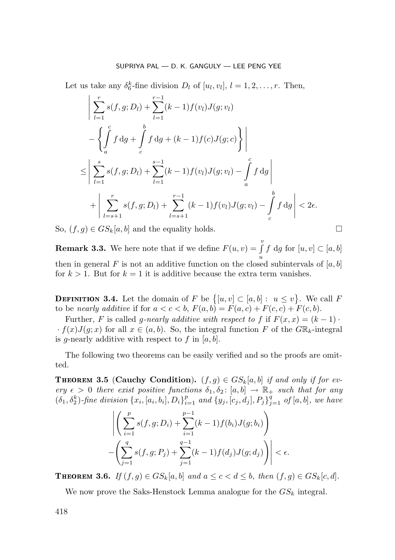Let us take any  $\delta_6^k$ -fine division  $D_l$  of  $[u_l, v_l]$ ,  $l = 1, 2, ..., r$ . Then,

$$
\left| \sum_{l=1}^{r} s(f, g; D_l) + \sum_{l=1}^{r-1} (k-1) f(v_l) J(g; v_l) - \left\{ \int_a^c f \, dg + \int_c^b f \, dg + (k-1) f(c) J(g; c) \right\} \right|
$$
  

$$
\leq \left| \sum_{l=1}^{s} s(f, g; D_l) + \sum_{l=1}^{s-1} (k-1) f(v_l) J(g; v_l) - \int_a^c f \, dg \right|
$$
  

$$
+ \left| \sum_{l=s+1}^{r} s(f, g; D_l) + \sum_{l=s+1}^{r-1} (k-1) f(v_l) J(g; v_l) - \int_c^b f \, dg \right| < 2\epsilon.
$$

So,  $(f,g) \in GS_k[a,b]$  and the equality holds.

**Remark 3.3.** We here note that if we define  $F(u, v) = \int_{v}^{v}$ u f dg for  $[u, v] \subset [a, b]$ then in general F is not an additive function on the closed subintervals of  $[a, b]$ for  $k > 1$ . But for  $k = 1$  it is additive because the extra term vanishes.

**DEFINITION 3.4.** Let the domain of F be  $\{[u, v] \subset [a, b] : u \le v\}$ . We call F to be nearly additive if for  $a < c < b$ ,  $F(a, b) = F(a, c) + F(c, c) + F(c, b)$ .

Further, F is called g-nearly additive with respect to f if  $F(x, x) = (k - 1) \cdot$  $\cdot f(x)J(q;x)$  for all  $x \in (a, b)$ . So, the integral function F of the GR<sub>k</sub>-integral is q-nearly additive with respect to f in  $[a, b]$ .

The following two theorems can be easily verified and so the proofs are omitted.

THEOREM 3.5 (Cauchy Condition).  $(f,g) \in GS_k[a,b]$  if and only if for every  $\epsilon > 0$  there exist positive functions  $\delta_1, \delta_2$ :  $[a, b] \rightarrow \mathbb{R}_+$  such that for any  $(\delta_1, \delta_2^k)$ -fine division  $\{x_i, [a_i, b_i], D_i\}_{i=1}^p$  and  $\{y_j, [c_j, d_j], P_j\}_{j=1}^q$  of  $[a, b]$ , we have

$$
\left| \left( \sum_{i=1}^{p} s(f,g; D_i) + \sum_{i=1}^{p-1} (k-1) f(b_i) J(g; b_i) \right) - \left( \sum_{j=1}^{q} s(f,g; P_j) + \sum_{j=1}^{q-1} (k-1) f(d_j) J(g; d_j) \right) \right| < \epsilon.
$$

THEOREM 3.6. If  $(f,g) \in GS_k[a,b]$  and  $a \leq c < d \leq b$ , then  $(f,g) \in GS_k[c,d]$ .

We now prove the Saks-Henstock Lemma analogue for the  $GS_k$  integral.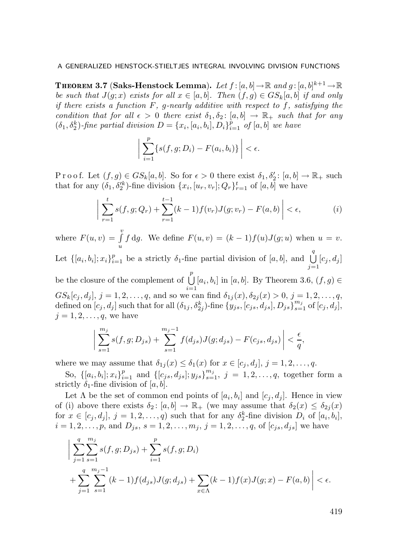Theorem 3.7 (Saks-Henstock Lemma). Let  $f\!:\![a,b]\!\!\rightarrow\!\mathbb{R}$  and  $g\!:\![a,b]^{k+1}\!\rightarrow\!\mathbb{R}$ be such that  $J(g; x)$  exists for all  $x \in [a, b]$ . Then  $(f, g) \in GS_k[a, b]$  if and only if there exists a function  $F$ , g-nearly additive with respect to f, satisfying the condition that for all  $\epsilon > 0$  there exist  $\delta_1, \delta_2 : [a, b] \to \mathbb{R}_+$  such that for any  $(\delta_1, \delta_2^k)$ -fine partial division  $D = \{x_i, [a_i, b_i], D_i\}_{i=1}^p$  of  $[a, b]$  we have

$$
\left| \sum_{i=1}^p \{s(f,g;D_i) - F(a_i,b_i)\} \right| < \epsilon.
$$

P r o o f. Let  $(f, g) \in GS_k[a, b]$ . So for  $\epsilon > 0$  there exist  $\delta_1, \delta'_2$ :  $[a, b] \to \mathbb{R}_+$  such that for any  $(\delta_1, \delta_2^{\prime k})$ -fine division  $\{x_i, [u_r, v_r]; Q_r\}_{r=1}^t$  of  $[a, b]$  we have

$$
\left| \sum_{r=1}^{t} s(f, g; Q_r) + \sum_{r=1}^{t-1} (k-1) f(v_r) J(g; v_r) - F(a, b) \right| < \epsilon,
$$
 (i)

where  $F(u, v) = \int_{0}^{v}$ u f dg. We define  $F(u, v) = (k - 1)f(u)J(g; u)$  when  $u = v$ . Let  $\{[a_i, b_i]; x_i\}_{i=1}^p$  be a strictly  $\delta_1$ -fine partial division of  $[a, b]$ , and  $\bigcup^q$  $j=1$  $[c_j ,d_j]$ be the closure of the complement of  $\bigcup^{p}$  $\bigcup_{i=1} [a_i, b_i]$  in  $[a, b]$ . By Theorem 3.6,  $(f, g) \in$  $GS_k[c_j, d_j], j = 1, 2, \ldots, q$ , and so we can find  $\delta_{1j}(x), \delta_{2j}(x) > 0, j = 1, 2, \ldots, q$ , defined on  $[c_j, d_j]$  such that for all  $(\delta_{1j}, \delta_{2j}^k)$ -fine  $\{y_{js}, [c_{js}, d_{js}], D_{js}\}_{s=1}^{m_j}$  of  $[c_j, d_j],$  $j = 1, 2, \ldots, q$ , we have

$$
\bigg|\sum_{s=1}^{m_j} s(f,g; D_{js}) + \sum_{s=1}^{m_j-1} f(d_{js}) J(g; d_{js}) - F(c_{js}, d_{js})\bigg| < \frac{\epsilon}{q},
$$

where we may assume that  $\delta_{1j}(x) \leq \delta_1(x)$  for  $x \in [c_j, d_j], j = 1, 2, \ldots, q$ .

So,  $\{[a_i, b_i]; x_i\}_{i=1}^p$  and  $\{[c_{js}, d_{js}]; y_{js}\}_{s=1}^{m_j}$ ,  $j = 1, 2, ..., q$ , together form a strictly  $\delta_1$ -fine division of [a, b].

Let  $\Lambda$  be the set of common end points of  $[a_i, b_i]$  and  $[c_j, d_j]$ . Hence in view of (i) above there exists  $\delta_2: [a, b] \to \mathbb{R}_+$  (we may assume that  $\delta_2(x) \leq \delta_{2j}(x)$ for  $x \in [c_j, d_j]$ ,  $j = 1, 2, ..., q$  such that for any  $\delta_2^k$ -fine division  $D_i$  of  $[a_i, b_i]$ ,  $i = 1, 2, \ldots, p$ , and  $D_{js}, s = 1, 2, \ldots, m_j, j = 1, 2, \ldots, q$ , of  $[c_{js}, d_{js}]$  we have

$$
\Big| \sum_{j=1}^{q} \sum_{s=1}^{m_j} s(f, g; D_{js}) + \sum_{i=1}^{p} s(f, g; D_i) + \sum_{j=1}^{q} \sum_{s=1}^{m_j - 1} (k - 1) f(d_{js}) J(g; d_{js}) + \sum_{x \in \Lambda} (k - 1) f(x) J(g; x) - F(a, b) \Big| < \epsilon.
$$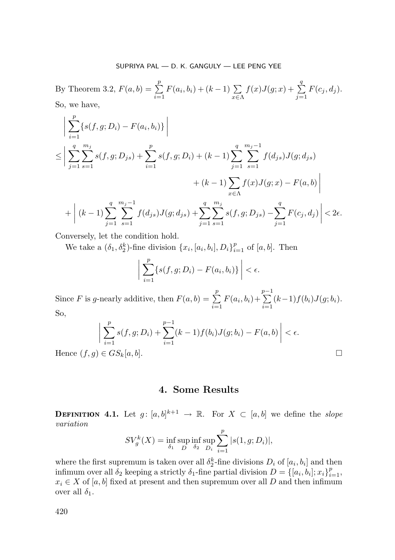By Theorem 3.2,  $F(a, b) = \sum_{n=1}^{p} b_n$  $\sum_{i=1}^{5} F(a_i, b_i) + (k-1) \sum_{x \in \Lambda}$  $f(x)J(g;x) + \sum_{n=1}^{q}$  $\sum_{j=1} F(c_j, d_j).$ So, we have,

$$
\left| \sum_{i=1}^{p} \{s(f,g; D_i) - F(a_i, b_i)\} \right|
$$
  
\n
$$
\leq \left| \sum_{j=1}^{q} \sum_{s=1}^{m_j} s(f,g; D_{js}) + \sum_{i=1}^{p} s(f,g; D_i) + (k-1) \sum_{j=1}^{q} \sum_{s=1}^{m_j-1} f(d_{js}) J(g; d_{js}) + (k-1) \sum_{x \in \Lambda} f(x) J(g; x) - F(a, b) \right|
$$
  
\n
$$
+ \left| (k-1) \sum_{j=1}^{q} \sum_{s=1}^{m_j-1} f(d_{js}) J(g; d_{js}) + \sum_{j=1}^{q} \sum_{s=1}^{m_j} s(f, g; D_{js}) - \sum_{j=1}^{q} F(c_j, d_j) \right| < 2\epsilon.
$$

Conversely, let the condition hold.

We take a  $(\delta_1, \delta_2^k)$ -fine division  $\{x_i, [a_i, b_i], D_i\}_{i=1}^p$  of  $[a, b]$ . Then

$$
\left|\sum_{i=1}^p \{s(f,g;D_i) - F(a_i,b_i)\}\right| < \epsilon.
$$

Since F is g-nearly additive, then  $F(a, b) = \sum_{n=1}^{p}$  $\sum_{i=1} F(a_i, b_i) +$  $\sum_{i=1}^{p-1}$  $\sum_{i=1} (k-1) f(b_i) J(g; b_i).$ So,

$$
\bigg| \sum_{i=1}^{p} s(f, g; D_i) + \sum_{i=1}^{p-1} (k-1) f(b_i) J(g; b_i) - F(a, b) \bigg| < \epsilon.
$$
  
Hence  $(f, g) \in G S_k[a, b].$ 

# 4. Some Results

**DEFINITION 4.1.** Let  $g: [a, b]^{k+1} \rightarrow \mathbb{R}$ . For  $X \subset [a, b]$  we define the *slope* variation

$$
SV_g^k(X) = \inf_{\delta_1} \sup_D \inf_{\delta_2} \sup_{D_i} \sum_{i=1}^p |s(1, g; D_i)|,
$$

where the first supremum is taken over all  $\delta_2^k$ -fine divisions  $D_i$  of  $[a_i, b_i]$  and then infimum over all  $\delta_2$  keeping a strictly  $\delta_1$ -fine partial division  $D = \{ [a_i, b_i]; x_i \}_{i=1}^p,$  $x_i \in X$  of [a, b] fixed at present and then supremum over all D and then infimum over all  $\delta_1$ .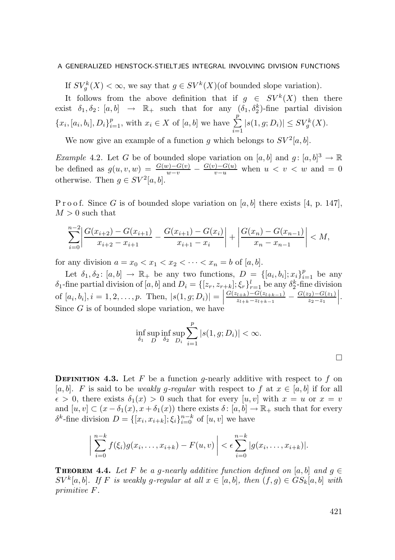If  $SV_g^k(X) < \infty$ , we say that  $g \in SV^k(X)$  (of bounded slope variation).

It follows from the above definition that if  $g \in SV^k(X)$  then there exist  $\delta_1, \delta_2$ :  $[a, b] \rightarrow \mathbb{R}_+$  such that for any  $(\delta_1, \delta_2^k)$ -fine partial division  ${x_i, [a_i, b_i], D_i}_{i=1}^p$ , with  $x_i \in X$  of  $[a, b]$  we have  $\sum_{i=1}^p$  $\sum_{i=1}^{\infty} |s(1, g; D_i)| \leq SV_g^k(X).$ 

We now give an example of a function g which belongs to  $SV^2[a, b]$ .

*Example 4.2.* Let G be of bounded slope variation on  $[a, b]$  and  $g : [a, b]^3 \to \mathbb{R}$ be defined as  $g(u, v, w) = \frac{G(w) - G(v)}{w - v} - \frac{G(v) - G(u)}{v - u}$  when  $u < v < w$  and  $v = 0$ otherwise. Then  $g \in SV^2[a, b]$ .

P r o o f. Since G is of bounded slope variation on [a, b] there exists [4, p. 147],  $M > 0$  such that

$$
\sum_{i=0}^{n-2} \left| \frac{G(x_{i+2}) - G(x_{i+1})}{x_{i+2} - x_{i+1}} - \frac{G(x_{i+1}) - G(x_i)}{x_{i+1} - x_i} \right| + \left| \frac{G(x_n) - G(x_{n-1})}{x_n - x_{n-1}} \right| < M,
$$

for any division  $a = x_0 < x_1 < x_2 < \cdots < x_n = b$  of  $[a, b]$ .

Let  $\delta_1, \delta_2 \colon [a, b] \to \mathbb{R}_+$  be any two functions,  $D = \{[a_i, b_i]; x_i\}_{i=1}^p$  be any  $\delta_1$ -fine partial division of  $[a, b]$  and  $D_i = \{[z_r, z_{r+k}]; \xi_r\}_{r=1}^l$  be any  $\delta_2^k$ -fine division of  $[a_i, b_i], i = 1, 2, ..., p.$  Then,  $|s(1, g; D_i)| =$  $G(z_{l+k})-G(z_{l+k-1})$  $\frac{G(z_{l+k})-G(z_{l+k-1})}{z_{l+k}-z_{l+k-1}} - \frac{G(z_2)-G(z_1)}{z_2-z_1}$  $z_2-z_1$  . Since G is of bounded slope variation, we have

$$
\inf_{\delta_1} \sup_D \inf_{\delta_2} \sup_{D_i} \sum_{i=1}^p |s(1, g; D_i)| < \infty.
$$

**DEFINITION 4.3.** Let F be a function g-nearly additive with respect to f on [a, b]. F is said to be weakly g-regular with respect to f at  $x \in [a, b]$  if for all  $\epsilon > 0$ , there exists  $\delta_1(x) > 0$  such that for every  $[u, v]$  with  $x = u$  or  $x = v$ and  $[u, v] \subset (x - \delta_1(x), x + \delta_1(x))$  there exists  $\delta : [a, b] \to \mathbb{R}_+$  such that for every  $\delta^k$ -fine division  $D = \{ [x_i, x_{i+k}]; \xi_i \}_{i=0}^{n-k}$  of  $[u, v]$  we have

$$
\bigg|\sum_{i=0}^{n-k}f(\xi_i)g(x_i,\ldots,x_{i+k})-F(u,v)\bigg|<\epsilon\sum_{i=0}^{n-k}|g(x_i,\ldots,x_{i+k})|.
$$

**THEOREM 4.4.** Let F be a g-nearly additive function defined on  $[a, b]$  and  $g \in$  $SV^k[a, b]$ . If F is weakly g-regular at all  $x \in [a, b]$ , then  $(f, g) \in GS_k[a, b]$  with primitive F.

 $\Box$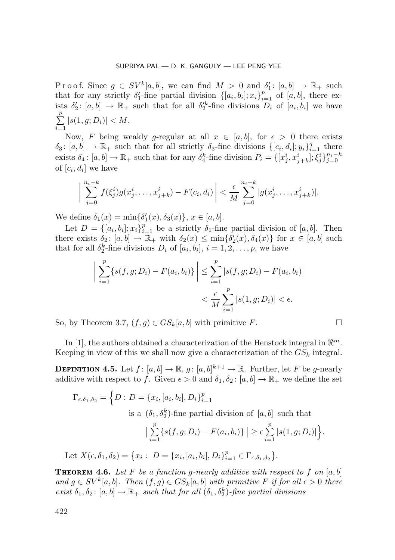P r o o f. Since  $g \in SV^k[a, b]$ , we can find  $M > 0$  and  $\delta'_1 \colon [a, b] \to \mathbb{R}_+$  such that for any strictly  $\delta'_1$ -fine partial division  $\{[a_i, b_i]; x_i\}_{i=1}^p$  of  $[a, b]$ , there exists  $\delta'_2$ :  $[a, b] \to \mathbb{R}_+$  such that for all  $\delta'^k_2$ -fine divisions  $D_i$  of  $[a_i, b_i]$  we have  $\sum_{i=1}^{p}$  $\sum_{i=1} |s(1, g; D_i)| < M.$ 

Now, F being weakly g-regular at all  $x \in [a, b]$ , for  $\epsilon > 0$  there exists  $\delta_3: [a, b] \to \mathbb{R}_+$  such that for all strictly  $\delta_3$ -fine divisions  $\{[c_i, d_i]; y_i\}_{i=1}^q$  there exists  $\delta_4$ :  $[a, b] \to \mathbb{R}_+$  such that for any  $\delta_4^k$ -fine division  $P_i = \{[x_j^i, x_{j+k}^i]; \xi_j^i\}_{j=0}^{n_i-k}$ of  $[c_i, d_i]$  we have

$$
\bigg|\sum_{j=0}^{n_i-k} f(\xi_j^i) g(x_j^i,\ldots,x_{j+k}^i) - F(c_i,d_i)\bigg| < \frac{\epsilon}{M} \sum_{j=0}^{n_i-k} |g(x_j^i,\ldots,x_{j+k}^i)|.
$$

We define  $\delta_1(x) = \min{\{\delta'_1(x), \delta_3(x)\}}, x \in [a, b].$ 

Let  $D = \{ [a_i, b_i]; x_i \}_{i=1}^p$  be a strictly  $\delta_1$ -fine partial division of  $[a, b]$ . Then there exists  $\delta_2: [a, b] \to \mathbb{R}_+$  with  $\delta_2(x) \le \min{\delta'_2(x), \delta_4(x)}$  for  $x \in [a, b]$  such that for all  $\delta_2^k$ -fine divisions  $D_i$  of  $[a_i, b_i]$ ,  $i = 1, 2, \ldots, p$ , we have

$$
\left| \sum_{i=1}^{p} \{s(f,g; D_i) - F(a_i, b_i)\} \right| \leq \sum_{i=1}^{p} |s(f,g; D_i) - F(a_i, b_i)|
$$
  

$$
< \frac{\epsilon}{M} \sum_{i=1}^{p} |s(1,g; D_i)| < \epsilon.
$$

So, by Theorem 3.7,  $(f,g) \in GS_k[a,b]$  with primitive F.

In [1], the authors obtained a characterization of the Henstock integral in  $\mathbb{R}^m$ . Keeping in view of this we shall now give a characterization of the  $GS_k$  integral.

**DEFINITION 4.5.** Let  $f: [a, b] \to \mathbb{R}$ ,  $g: [a, b]^{k+1} \to \mathbb{R}$ . Further, let F be g-nearly additive with respect to f. Given  $\epsilon > 0$  and  $\delta_1, \delta_2 : [a, b] \to \mathbb{R}_+$  we define the set

$$
\Gamma_{\epsilon,\delta_1,\delta_2} = \Big\{ D : D = \{x_i, [a_i, b_i], D_i\}_{i=1}^p
$$
  
is a  $(\delta_1, \delta_2^k)$ -fine partial division of  $[a, b]$  such that  

$$
\Big| \sum_{i=1}^p \{s(f, g; D_i) - F(a_i, b_i)\} \Big| \ge \epsilon \sum_{i=1}^p |s(1, g; D_i)| \Big\}.
$$
  
Let  $X(\epsilon, \delta_1, \delta_2) = \{x_i : D = \{x_i, [a_i, b_i], D_i\}_{i=1}^p \in \Gamma_{\epsilon, \delta_1, \delta_2}\}.$ 

**THEOREM 4.6.** Let F be a function g-nearly additive with respect to f on  $[a, b]$ and  $g \in SV^k[a, b]$ . Then  $(f, g) \in GS_k[a, b]$  with primitive F if for all  $\epsilon > 0$  there exist  $\delta_1, \delta_2$ :  $[a, b] \to \mathbb{R}_+$  such that for all  $(\delta_1, \delta_2^k)$ -fine partial divisions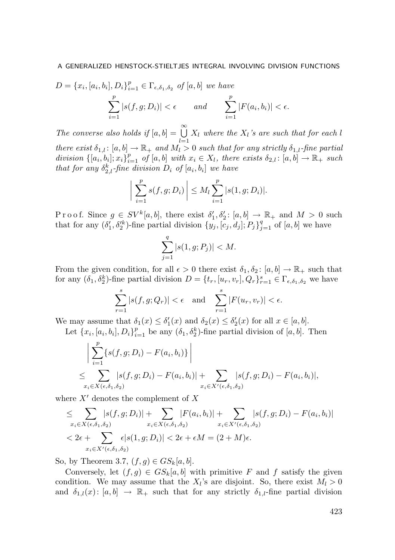$$
D = \{x_i, [a_i, b_i], D_i\}_{i=1}^p \in \Gamma_{\epsilon, \delta_1, \delta_2} \text{ of } [a, b] \text{ we have}
$$

$$
\sum_{i=1}^p |s(f, g; D_i)| < \epsilon \quad \text{and} \quad \sum_{i=1}^p |F(a_i, b_i)| < \epsilon.
$$

The converse also holds if  $[a, b] = \bigcup_{n=0}^{\infty}$  $\bigcup_{l=1} X_l$  where the  $X_l$ 's are such that for each l there exist  $\delta_{1,l} \colon [a, b] \to \mathbb{R}_+$  and  $M_l > 0$  such that for any strictly  $\delta_{1,l}$ -fine partial division  $\{[a_i, b_i]; x_i\}_{i=1}^p$  of  $[a, b]$  with  $x_i \in X_l$ , there exists  $\delta_{2,l}: [a, b] \to \mathbb{R}_+$  such that for any  $\delta_{2,l}^k$ -fine division  $D_i$  of  $[a_i, b_i]$  we have

$$
\left| \sum_{i=1}^{p} s(f, g; D_i) \right| \le M_l \sum_{i=1}^{p} |s(1, g; D_i)|.
$$

P r o o f. Since  $g \in SV^k[a, b]$ , there exist  $\delta'_1, \delta'_2$ :  $[a, b] \to \mathbb{R}_+$  and  $M > 0$  such that for any  $(\delta'_1, \delta'^k_2)$ -fine partial division  $\{y_j, [c_j, d_j]; P_j\}_{j=1}^q$  of  $[a, b]$  we have

$$
\sum_{j=1}^{q} |s(1, g; P_j)| < M.
$$

From the given condition, for all  $\epsilon > 0$  there exist  $\delta_1, \delta_2 : [a, b] \to \mathbb{R}_+$  such that for any  $(\delta_1, \delta_2^k)$ -fine partial division  $D = \{t_r, [u_r, v_r], Q_r\}_{r=1}^s \in \Gamma_{\epsilon, \delta_1, \delta_2}$  we have

$$
\sum_{r=1}^{s} |s(f, g; Q_r)| < \epsilon \quad \text{and} \quad \sum_{r=1}^{s} |F(u_r, v_r)| < \epsilon.
$$

We may assume that  $\delta_1(x) \leq \delta'_1(x)$  and  $\delta_2(x) \leq \delta'_2(x)$  for all  $x \in [a, b]$ .

Let  $\{x_i, [a_i, b_i], D_i\}_{i=1}^p$  be any  $(\delta_1, \delta_2^k)$ -fine partial division of  $[a, b]$ . Then

$$
\left| \sum_{i=1}^{p} \{s(f, g; D_i) - F(a_i, b_i)\}\right|
$$
  

$$
\leq \sum_{x_i \in X(\epsilon, \delta_1, \delta_2)} |s(f, g; D_i) - F(a_i, b_i)| + \sum_{x_i \in X'(\epsilon, \delta_1, \delta_2)} |s(f, g; D_i) - F(a_i, b_i)|,
$$

where  $X'$  denotes the complement of  $X$ 

≤

$$
\leq \sum_{x_i \in X(\epsilon,\delta_1,\delta_2)} |s(f,g;D_i)| + \sum_{x_i \in X(\epsilon,\delta_1,\delta_2)} |F(a_i,b_i)| + \sum_{x_i \in X'(\epsilon,\delta_1,\delta_2)} |s(f,g;D_i) - F(a_i,b_i)|
$$
  
< 2\epsilon + \sum\_{x\_i \in X'(\epsilon,\delta\_1,\delta\_2)} \epsilon |s(1,g;D\_i)| < 2\epsilon + \epsilon M = (2+M)\epsilon.

So, by Theorem 3.7,  $(f,g) \in GS_k[a,b]$ .

Conversely, let  $(f,g) \in GS_k[a,b]$  with primitive F and f satisfy the given condition. We may assume that the  $X_l$ 's are disjoint. So, there exist  $M_l > 0$ and  $\delta_{1,l}(x)$ :  $[a, b] \rightarrow \mathbb{R}_+$  such that for any strictly  $\delta_{1,l}$ -fine partial division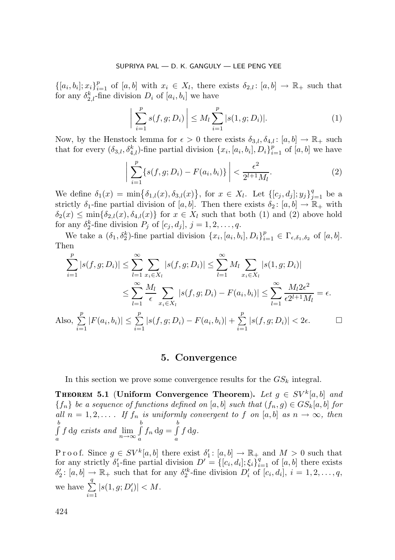$\{[a_i, b_i]; x_i\}_{i=1}^p$  of  $[a, b]$  with  $x_i \in X_l$ , there exists  $\delta_{2,l}: [a, b] \to \mathbb{R}_+$  such that for any  $\delta_{2,l}^k$ -fine division  $D_i$  of  $[a_i, b_i]$  we have

$$
\left| \sum_{i=1}^{p} s(f, g; D_i) \right| \le M_l \sum_{i=1}^{p} |s(1, g; D_i)|. \tag{1}
$$

Now, by the Henstock lemma for  $\epsilon > 0$  there exists  $\delta_{3,l}, \delta_{4,l} : [a, b] \to \mathbb{R}_+$  such that for every  $(\delta_{3,l}, \delta_{4,l}^k)$ -fine partial division  $\{x_i, [a_i, b_i], D_i\}_{i=1}^p$  of  $[a, b]$  we have

$$
\left| \sum_{i=1}^{p} \{s(f,g;D_i) - F(a_i,b_i)\} \right| < \frac{\epsilon^2}{2^{l+1}M_l}.\tag{2}
$$

We define  $\delta_1(x) = \min\{\delta_{1,l}(x), \delta_{3,l}(x)\}\$ , for  $x \in X_l$ . Let  $\{[c_j, d_j]; y_j\}_{j=1}^q$  be a strictly  $\delta_1$ -fine partial division of  $[a, b]$ . Then there exists  $\delta_2 : [a, b] \to \mathbb{R}_+$  with  $\delta_2(x) \leq \min\{\delta_{2,l}(x), \delta_{4,l}(x)\}\$ for  $x \in X_l$  such that both (1) and (2) above hold for any  $\delta_2^k$ -fine division  $P_j$  of  $[c_j, d_j], j = 1, 2, \ldots, q$ .

We take a  $(\delta_1, \delta_2^k)$ -fine partial division  $\{x_i, [a_i, b_i], D_i\}_{i=1}^p \in \Gamma_{\epsilon, \delta_1, \delta_2}$  of  $[a, b]$ . Then

$$
\sum_{i=1}^{p} |s(f, g; D_i)| \leq \sum_{l=1}^{\infty} \sum_{x_i \in X_l} |s(f, g; D_i)| \leq \sum_{l=1}^{\infty} M_l \sum_{x_i \in X_l} |s(1, g; D_i)|
$$
  

$$
\leq \sum_{l=1}^{\infty} \frac{M_l}{\epsilon} \sum_{x_i \in X_l} |s(f, g; D_i) - F(a_i, b_i)| \leq \sum_{l=1}^{\infty} \frac{M_l 2\epsilon^2}{\epsilon 2^{l+1} M_l} = \epsilon.
$$
  
Also, 
$$
\sum_{i=1}^{p} |F(a_i, b_i)| \leq \sum_{i=1}^{p} |s(f, g; D_i) - F(a_i, b_i)| + \sum_{i=1}^{p} |s(f, g; D_i)| < 2\epsilon.
$$

# 5. Convergence

In this section we prove some convergence results for the  $GS_k$  integral.

THEOREM 5.1 (Uniform Convergence Theorem). Let  $g \in SV^k[a, b]$  and  ${f_n}$  be a sequence of functions defined on [a, b] such that  $(f_n, g) \in G_{\mathcal{S}_k}[a, b]$  for all  $n = 1, 2, \ldots$  If  $f_n$  is uniformly convergent to f on [a, b] as  $n \to \infty$ , then  $\int_a^b$  $\int_a^b f \, dg$  exists and  $\lim_{n \to \infty} \int_a^b$  $\int_a^b f_n \, \mathrm{d}g = \int_a^b$ a  $f \, dg$ .

Proof. Since  $g \in SV^k[a, b]$  there exist  $\delta'_1$ :  $[a, b] \to \mathbb{R}_+$  and  $M > 0$  such that for any strictly  $\delta'_1$ -fine partial division  $D' = \{ [c_i, d_i]; \xi_i \}_{i=1}^q$  of  $[a, b]$  there exists  $\delta'_2$ :  $[a, b] \to \mathbb{R}_+$  such that for any  $\delta'^k_2$ -fine division  $D'_i$  of  $[c_i, d_i], i = 1, 2, \ldots, q$ , we have  $\sum_{n=1}^{\infty}$  $i=1$  $\label{eq:3} |s(1,g;D_i')| < M.$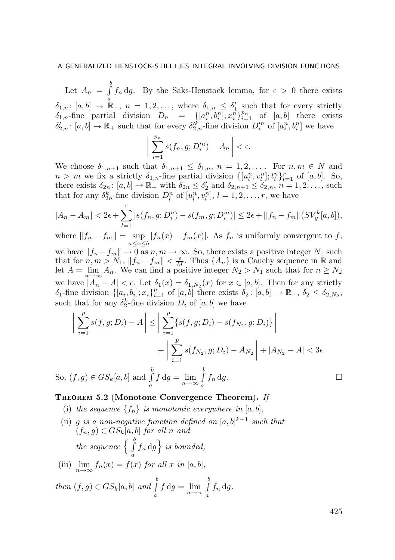Let  $A_n = \int_a^b$  $\int_{a} f_n \, dg$ . By the Saks-Henstock lemma, for  $\epsilon > 0$  there exists  $\delta_{1,n} \colon [a, b] \to \mathbb{R}_+, n = 1, 2, \ldots$ , where  $\delta_{1,n} \leq \delta'_1$  such that for every strictly  $\delta_{1,n}$ -fine partial division  $D_n = \{[a_i^n, b_i^n]; x_i^n\}_{i=1}^{p_n}$  of  $[a, b]$  there exists  $\delta'_{2,n} : [a,b] \to \mathbb{R}_+$  such that for every  $\delta'^k_{2,n}$ -fine division  $D'^n_i$  of  $[a_i^n, b_i^n]$  we have

$$
\bigg|\sum_{i=1}^{p_n} s(f_n,g;D_i'^n)-A_n\bigg|<\epsilon.
$$

We choose  $\delta_{1,n+1}$  such that  $\delta_{1,n+1} \leq \delta_{1,n}$ ,  $n = 1, 2, \ldots$ . For  $n, m \in N$  and  $n > m$  we fix a strictly  $\delta_{1,n}$ -fine partial division  $\{[u_l^n, v_l^n]; t_l^n\}_{l=1}^r$  of  $[a, b]$ . So, there exists  $\delta_{2n} : [a, b] \to \mathbb{R}_+$  with  $\delta_{2n} \leq \delta'_2$  and  $\delta_{2n+1} \leq \delta_{2n}$ ,  $n = 1, 2, \ldots$ , such that for any  $\delta_{2n}^k$ -fine division  $D_l^n$  of  $[u_l^n, v_l^n]$ ,  $l = 1, 2, \ldots, r$ , we have

$$
|A_n - A_m| < 2\epsilon + \sum_{l=1}^r |s(f_n, g; D_i^n) - s(f_m, g; D_i^m)| \le 2\epsilon + ||f_n - f_m|| \left(SV_g^k[a, b]\right),
$$

where  $||f_n - f_m|| = \sup_{a \le x \le b} |f_n(x) - f_m(x)|$ . As  $f_n$  is uniformly convergent to  $f$ ,

we have  $||f_n - f_m|| \to 0$  as  $n, m \to \infty$ . So, there exists a positive integer  $N_1$  such that for  $n, m > N_1$ ,  $||f_n - f_m|| < \frac{\epsilon}{M}$ . Thus  $\{A_n\}$  is a Cauchy sequence in  $\mathbb R$  and let  $A = \lim_{n \to \infty} A_n$ . We can find a positive integer  $N_2 > N_1$  such that for  $n \ge N_2$ we have  $|A_n - A| < \epsilon$ . Let  $\delta_1(x) = \delta_{1,N_2}(x)$  for  $x \in [a, b]$ . Then for any strictly  $\delta_1$ -fine division  $\{[a_i, b_i]; x_i\}_{i=1}^p$  of  $[a, b]$  there exists  $\delta_2 : [a, b] \to \mathbb{R}_+, \delta_2 \leq \delta_{2,N_2},$ such that for any  $\delta_2^k$ -fine division  $D_i$  of  $[a, b]$  we have

$$
\left| \sum_{i=1}^{p} s(f, g; D_i) - A \right| \le \left| \sum_{i=1}^{p} \{ s(f, g; D_i) - s(f_{N_2}, g; D_i) \} \right| + \left| \sum_{i=1}^{p} s(f_{N_2}, g; D_i) - A_{N_2} \right| + |A_{N_2} - A| < 3\epsilon.
$$
\nSo,

\n
$$
(f, g) \in GS_k[a, b] \text{ and } \int_a^b f \, dg = \lim_{n \to \infty} \int_a^b f_n \, dg.
$$

# THEOREM 5.2 (Monotone Convergence Theorem). If

- (i) the sequence  $\{f_n\}$  is monotonic everywhere in [a, b],
- (ii) g is a non-negative function defined on  $[a,b]^{k+1}$  such that  $(f_n, g) \in GS_k[a, b]$  for all n and the sequence  $\begin{array}{c} \left\{ \begin{array}{c} b \\ \end{array} \right\}$  $\int_a^b f_n \, dg \bigg\}$  is bounded,
- (iii)  $\lim_{n \to \infty} f_n(x) = f(x)$  for all x in [a, b], b b

then 
$$
(f,g) \in GS_k[a,b]
$$
 and  $\int_a^b f \, dg = \lim_{n \to \infty} \int_a^b f_n \, dg$ .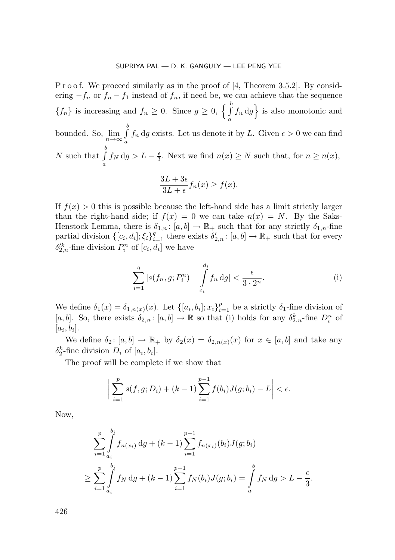P r o o f. We proceed similarly as in the proof of [4, Theorem 3.5.2]. By considering  $-f_n$  or  $f_n - f_1$  instead of  $f_n$ , if need be, we can achieve that the sequence  ${f_n}$  is increasing and  $f_n \geq 0$ . Since  $g \geq 0$ ,  $\left\{ \int_0^b$  $\int_a^b f_n \, dg \bigg\}$  is also monotonic and bounded. So,  $\lim_{n\to\infty}\int_{a}^{b}$  $\int_a f_n \, dg$  exists. Let us denote it by L. Given  $\epsilon > 0$  we can find  $\int_a f_n \, dg$ N such that  $\int_a^b$  $\int_a f_N \, dg > L - \frac{\epsilon}{3}$ . Next we find  $n(x) \ge N$  such that, for  $n \ge n(x)$ ,

$$
\frac{3L+3\epsilon}{3L+\epsilon}f_n(x) \ge f(x).
$$

If  $f(x) > 0$  this is possible because the left-hand side has a limit strictly larger than the right-hand side; if  $f(x) = 0$  we can take  $n(x) = N$ . By the Saks-Henstock Lemma, there is  $\delta_{1,n}$ :  $[a,b] \to \mathbb{R}_+$  such that for any strictly  $\delta_{1,n}$ -fine partial division  $\{[c_i, d_i]; \xi_i\}_{i=1}^q$  there exists  $\delta'_{2,n} : [a, b] \to \mathbb{R}_+$  such that for every  $\delta'^k_{2,n}$ -fine division  $P_i^n$  of  $[c_i, d_i]$  we have

$$
\sum_{i=1}^{q} |s(f_n, g; P_i^n) - \int_{c_i}^{d_i} f_n \, dg| < \frac{\epsilon}{3 \cdot 2^n}.\tag{i}
$$

We define  $\delta_1(x) = \delta_{1,n(x)}(x)$ . Let  $\{[a_i, b_i]; x_i\}_{i=1}^p$  be a strictly  $\delta_1$ -fine division of [a, b]. So, there exists  $\delta_{2,n}$ : [a, b]  $\to \mathbb{R}$  so that (i) holds for any  $\delta_{2,n}^k$ -fine  $D_i^n$  of  $[a_i, b_i].$ 

We define  $\delta_2: [a, b] \to \mathbb{R}_+$  by  $\delta_2(x) = \delta_{2,n(x)}(x)$  for  $x \in [a, b]$  and take any  $\delta_2^k$ -fine division  $D_i$  of  $[a_i, b_i]$ .

The proof will be complete if we show that

 $\overline{\phantom{a}}$  $\overline{\phantom{a}}$  $\overline{\phantom{a}}$ ļ

$$
\sum_{i=1}^{p} s(f, g; D_i) + (k-1) \sum_{i=1}^{p-1} f(b_i) J(g; b_i) - L \Big| < \epsilon.
$$

Now,

$$
\sum_{i=1}^{p} \int_{a_i}^{b_i} f_{n(x_i)} dg + (k-1) \sum_{i=1}^{p-1} f_{n(x_i)}(b_i) J(g; b_i)
$$
  
\n
$$
\geq \sum_{i=1}^{p} \int_{a_i}^{b_i} f_N dg + (k-1) \sum_{i=1}^{p-1} f_N(b_i) J(g; b_i) = \int_{a}^{b} f_N dg > L - \frac{\epsilon}{3}.
$$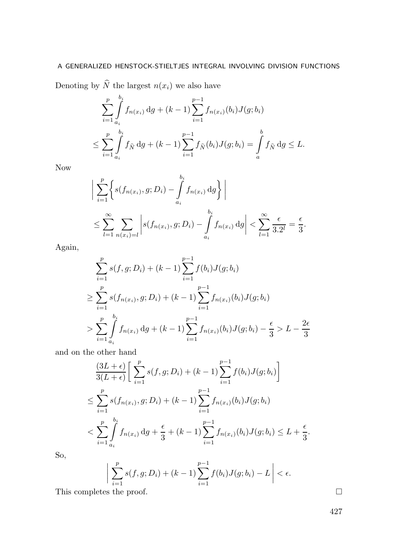Denoting by  $\widehat{N}$  the largest  $n(x_i)$  we also have

$$
\sum_{i=1}^{p} \int_{a_i}^{b_i} f_{n(x_i)} dg + (k-1) \sum_{i=1}^{p-1} f_{n(x_i)}(b_i) J(g; b_i)
$$
  

$$
\leq \sum_{i=1}^{p} \int_{a_i}^{b_i} f_{\widehat{N}} dg + (k-1) \sum_{i=1}^{p-1} f_{\widehat{N}}(b_i) J(g; b_i) = \int_{a}^{b} f_{\widehat{N}} dg \leq L.
$$

Now

$$
\left| \sum_{i=1}^{p} \left\{ s(f_{n(x_i)}, g; D_i) - \int_{a_i}^{b_i} f_{n(x_i)} dg \right\} \right|
$$
  

$$
\leq \sum_{l=1}^{\infty} \sum_{n(x_i)=l} \left| s(f_{n(x_i)}, g; D_i) - \int_{a_i}^{b_i} f_{n(x_i)} dg \right| < \sum_{l=1}^{\infty} \frac{\epsilon}{3 \cdot 2^l} = \frac{\epsilon}{3}.
$$

Again,

$$
\sum_{i=1}^{p} s(f, g; D_i) + (k - 1) \sum_{i=1}^{p-1} f(b_i) J(g; b_i)
$$
\n
$$
\geq \sum_{i=1}^{p} s(f_{n(x_i)}, g; D_i) + (k - 1) \sum_{i=1}^{p-1} f_{n(x_i)}(b_i) J(g; b_i)
$$
\n
$$
> \sum_{i=1}^{p} \int_{a_i}^{b_i} f_{n(x_i)} dg + (k - 1) \sum_{i=1}^{p-1} f_{n(x_i)}(b_i) J(g; b_i) - \frac{\epsilon}{3} > L - \frac{2\epsilon}{3}
$$

and on the other hand

$$
\frac{(3L+\epsilon)}{3(L+\epsilon)} \bigg[ \sum_{i=1}^{p} s(f, g; D_i) + (k-1) \sum_{i=1}^{p-1} f(b_i) J(g; b_i) \bigg]
$$
  
\n
$$
\leq \sum_{i=1}^{p} s(f_{n(x_i)}, g; D_i) + (k-1) \sum_{i=1}^{p-1} f_{n(x_i)}(b_i) J(g; b_i)
$$
  
\n
$$
< \sum_{i=1}^{p} \int_{a_i}^{b_i} f_{n(x_i)} dg + \frac{\epsilon}{3} + (k-1) \sum_{i=1}^{p-1} f_{n(x_i)}(b_i) J(g; b_i) \leq L + \frac{\epsilon}{3}.
$$

So,

$$
\bigg|\sum_{i=1}^p s(f,g;D_i) + (k-1)\sum_{i=1}^{p-1} f(b_i)J(g;b_i) - L\bigg| < \epsilon.
$$
  
This completes the proof.

 $\begin{array}{c} \hline \end{array}$  $\overline{\phantom{a}}$  $\overline{\phantom{a}}$  $\overline{\phantom{a}}$ 

|--|--|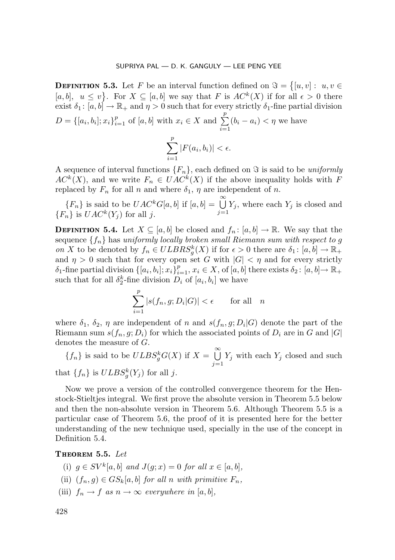**DEFINITION 5.3.** Let F be an interval function defined on  $\Im = \{ [u, v] : u, v \in$ [a, b],  $u \leq v$ }. For  $X \subseteq [a, b]$  we say that F is  $AC^k(X)$  if for all  $\epsilon > 0$  there exist  $\delta_1$ :  $[a, b] \to \mathbb{R}_+$  and  $\eta > 0$  such that for every strictly  $\delta_1$ -fine partial division  $D = \{ [a_i, b_i]; x_i \}_{i=1}^p$  of  $[a, b]$  with  $x_i \in X$  and  $\sum_{i=1}^p$  $\sum_{i=1}^{\infty} (b_i - a_i) < \eta$  we have  $\sum_{i=1}^{p}$  $|F(a_i, b_i)| < \epsilon.$ 

A sequence of interval functions  $\{F_n\}$ , each defined on  $\Im$  is said to be uniformly  $AC^{k}(X)$ , and we write  $F_n \in UAC^{k}(X)$  if the above inequality holds with F replaced by  $F_n$  for all n and where  $\delta_1$ ,  $\eta$  are independent of n.

 $\frac{i=1}{i}$ 

 ${F_n}$  is said to be  $UAC^kG[a, b]$  if  $[a, b] = \bigcup_{j=1}^{\infty} Y_j$ , where each  $Y_j$  is closed and  $\{F_n\}$  is  $UAC^k(Y_j)$  for all j.

**DEFINITION 5.4.** Let  $X \subseteq [a, b]$  be closed and  $f_n : [a, b] \to \mathbb{R}$ . We say that the sequence  $\{f_n\}$  has uniformly locally broken small Riemann sum with respect to g on X to be denoted by  $f_n \in ULBRS_g^k(X)$  if for  $\epsilon > 0$  there are  $\delta_1: [a, b] \to \mathbb{R}_+$ and  $\eta > 0$  such that for every open set G with  $|G| < \eta$  and for every strictly  $\delta_1$ -fine partial division  $\{[a_i, b_i]; x_i\}_{i=1}^p, x_i \in X$ , of  $[a, b]$  there exists  $\delta_2 : [a, b] \to \mathbb{R}_+$ such that for all  $\delta_2^k$ -fine division  $D_i$  of  $[a_i, b_i]$  we have

$$
\sum_{i=1}^{p} |s(f_n, g; D_i | G)| < \epsilon \qquad \text{for all} \quad n
$$

where  $\delta_1$ ,  $\delta_2$ ,  $\eta$  are independent of n and  $s(f_n, g; D_i | G)$  denote the part of the Riemann sum  $s(f_n, g; D_i)$  for which the associated points of  $D_i$  are in G and  $|G|$ denotes the measure of G.

 ${f_n}$  is said to be  $ULBS_g^kG(X)$  if  $X = \bigcup_{n=0}^{\infty}$  $\bigcup_{j=1} Y_j$  with each  $Y_j$  closed and such that  $\{f_n\}$  is  $ULBS_g^k(Y_j)$  for all j.

Now we prove a version of the controlled convergence theorem for the Henstock-Stieltjes integral. We first prove the absolute version in Theorem 5.5 below and then the non-absolute version in Theorem 5.6. Although Theorem 5.5 is a particular case of Theorem 5.6, the proof of it is presented here for the better understanding of the new technique used, specially in the use of the concept in Definition 5.4.

Theorem 5.5. Let

- (i)  $g \in SV^k[a, b]$  and  $J(g; x) = 0$  for all  $x \in [a, b]$ ,
- (ii)  $(f_n, g) \in GS_k[a, b]$  for all n with primitive  $F_n$ ,
- (iii)  $f_n \to f$  as  $n \to \infty$  everywhere in [a, b],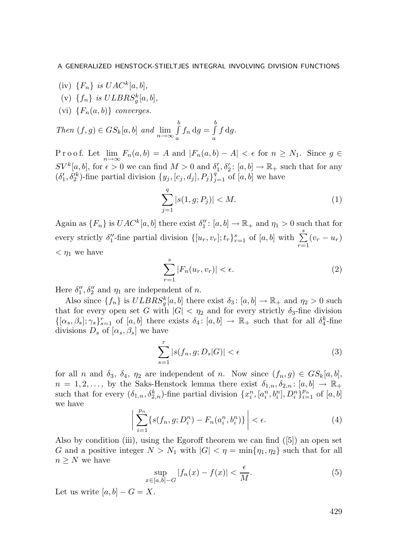- (iv)  $\{F_n\}$  is  $UAC^k[a, b],$
- (v)  $\{f_n\}$  is  $ULBRS_g^k[a, b],$
- (vi)  ${F_n(a, b)}$  converges.

Then  $(f,g) \in GS_k[a,b]$  and  $\lim_{n \to \infty} \int_a^b$  $\int_a^b f_n \, \mathrm{d}g = \int_a^b$ a  $f \, dg$ .

P r o o f. Let  $\lim_{n\to\infty} F_n(a,b) = A$  and  $|F_n(a,b) - A| < \epsilon$  for  $n \geq N_1$ . Since  $g \in$  $SV^k[a, b]$ , for  $\epsilon > 0$  we can find  $M > 0$  and  $\delta'_1, \delta'_2$ :  $[a, b] \to \mathbb{R}_+$  such that for any  $(\delta'_1, \delta'^k_2)$ -fine partial division  $\{y_j, [c_j, d_j], P_j\}_{j=1}^q$  of  $[a, b]$  we have

$$
\sum_{j=1}^{q} |s(1, g; P_j)| < M. \tag{1}
$$

Again as  $\{F_n\}$  is  $UAC^k[a, b]$  there exist  $\delta_1'' : [a, b] \to \mathbb{R}_+$  and  $\eta_1 > 0$  such that for every strictly  $\delta''_1$ -fine partial division  $\{[u_r, v_r]; t_r\}_{r=1}^s$  of  $[a, b]$  with  $\sum_{r=1}^s (v_r - u_r)$  $< \eta_1$  we have

$$
\sum_{r=1}^{s} |F_n(u_r, v_r)| < \epsilon. \tag{2}
$$

Here  $\delta_1'', \delta_2''$  and  $\eta_1$  are independent of n.

Also since  $\{f_n\}$  is  $ULBRS_g^k[a, b]$  there exist  $\delta_3: [a, b] \to \mathbb{R}_+$  and  $\eta_2 > 0$  such that for every open set G with  $|G| < \eta_2$  and for every strictly  $\delta_3$ -fine division  $\{[\alpha_s, \beta_s]; \gamma_s\}_{s=1}^r$  of  $[a, b]$  there exists  $\delta_4$ :  $[a, b] \to \mathbb{R}_+$  such that for all  $\delta_4^k$ -fine divisions  $D_s$  of  $[\alpha_s, \beta_s]$  we have

$$
\sum_{s=1}^{r} |s(f_n, g; D_s|G)| < \epsilon \tag{3}
$$

for all n and  $\delta_3$ ,  $\delta_4$ ,  $\eta_2$  are independent of n. Now since  $(f_n, g) \in GS_k[a, b],$  $n = 1, 2, \ldots$ , by the Saks-Henstock lemma there exist  $\delta_{1,n}, \delta_{2,n} : [a, b] \to \mathbb{R}_+$ such that for every  $(\delta_{1,n}, \delta_{2,n}^k)$ -fine partial division  $\{x_i^n, [a_i^n, b_i^n], D_i^n\}_{i=1}^{p_n}$  of  $[a, b]$ we have

$$
\left| \sum_{i=1}^{p_n} \{ s(f_n, g; D_i^n) - F_n(a_i^n, b_i^n) \} \right| < \epsilon. \tag{4}
$$

Also by condition (iii), using the Egoroff theorem we can find  $([5])$  an open set G and a positive integer  $N>N_1$  with  $|G| < \eta = \min\{\eta_1, \eta_2\}$  such that for all  $n \geq N$  we have

$$
\sup_{\in [a,b]-G} |f_n(x) - f(x)| < \frac{\epsilon}{M}.\tag{5}
$$

Let us write  $[a, b] - G = X$ .

 $\boldsymbol{x}$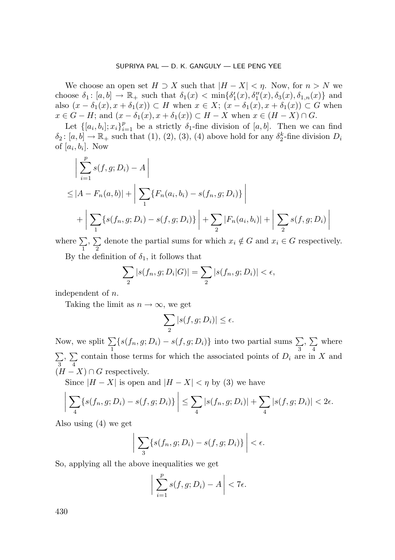We choose an open set  $H \supset X$  such that  $|H - X| < \eta$ . Now, for  $n > N$  we choose  $\delta_1: [a, b] \to \mathbb{R}_+$  such that  $\delta_1(x) < \min{\delta'_1(x), \delta''_1(x), \delta_3(x), \delta_{1,n}(x)}$  and also  $(x - \delta_1(x), x + \delta_1(x)) \subset H$  when  $x \in X$ ;  $(x - \delta_1(x), x + \delta_1(x)) \subset G$  when  $x \in G - H$ ; and  $(x - \delta_1(x), x + \delta_1(x)) \subset H - X$  when  $x \in (H - X) \cap G$ .

Let  $\{[a_i, b_i]; x_i\}_{i=1}^p$  be a strictly  $\delta_1$ -fine division of  $[a, b]$ . Then we can find  $\delta_2: [a, b] \to \mathbb{R}_+$  such that (1), (2), (3), (4) above hold for any  $\delta_2^k$ -fine division  $D_i$ of  $[a_i, b_i]$ . Now

$$
\left| \sum_{i=1}^{p} s(f, g; D_i) - A \right|
$$
  
\n
$$
\leq |A - F_n(a, b)| + \left| \sum_{1} \{ F_n(a_i, b_i) - s(f_n, g; D_i) \} \right|
$$
  
\n
$$
+ \left| \sum_{1} \{ s(f_n, g; D_i) - s(f, g; D_i) \} \right| + \sum_{2} |F_n(a_i, b_i)| + \left| \sum_{2} s(f, g; D_i) \right|
$$

where  $\sum$ 1 ,  $\sum$  $\sum_{i=2}$  denote the partial sums for which  $x_i \notin G$  and  $x_i \in G$  respectively.

By the definition of  $\delta_1$ , it follows that

$$
\sum_{2} |s(f_n, g; D_i|G)| = \sum_{2} |s(f_n, g; D_i)| < \epsilon,
$$

independent of n.

Taking the limit as  $n \to \infty$ , we get

$$
\sum_{2} |s(f, g; D_i)| \le \epsilon.
$$

Now, we split  $\sum$  $\sum_{i=1}$ {s(f<sub>n</sub>, g; D<sub>i</sub>) – s(f, g; D<sub>i</sub>)} into two partial sums  $\sum_{3}$ ,  $\sum$ 4 where  $\sum$ 3 ,  $\sum$  $\sum_{i=1}^{\infty}$  contain those terms for which the associated points of  $D_i$  are in X and  $(H - X) \cap G$  respectively.

Since  $|H - X|$  is open and  $|H - X| < \eta$  by (3) we have

$$
\left|\sum_{4} \{s(f_n, g; D_i) - s(f, g; D_i)\}\right| \leq \sum_{4} |s(f_n, g; D_i)| + \sum_{4} |s(f, g; D_i)| < 2\epsilon.
$$

Also using (4) we get

$$
\left| \sum_{3} \{s(f_n, g; D_i) - s(f, g; D_i)\} \right| < \epsilon.
$$

So, applying all the above inequalities we get

$$
\left|\sum_{i=1}^p s(f,g;D_i) - A\right| < 7\epsilon.
$$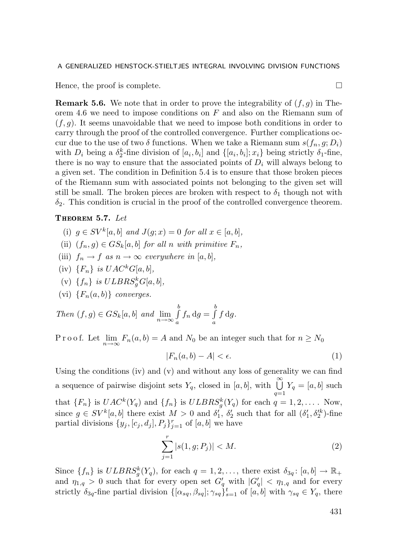Hence, the proof is complete.

**Remark 5.6.** We note that in order to prove the integrability of  $(f, g)$  in Theorem 4.6 we need to impose conditions on  $F$  and also on the Riemann sum of  $(f, q)$ . It seems unavoidable that we need to impose both conditions in order to carry through the proof of the controlled convergence. Further complications occur due to the use of two  $\delta$  functions. When we take a Riemann sum  $s(f_n, g; D_i)$ with  $D_i$  being a  $\delta_2^k$ -fine division of  $[a_i, b_i]$  and  $\{[a_i, b_i]; x_i\}$  being strictly  $\delta_1$ -fine, there is no way to ensure that the associated points of  $D_i$  will always belong to a given set. The condition in Definition 5.4 is to ensure that those broken pieces of the Riemann sum with associated points not belonging to the given set will still be small. The broken pieces are broken with respect to  $\delta_1$  though not with  $\delta_2$ . This condition is crucial in the proof of the controlled convergence theorem.

## Theorem 5.7. Let

- (i)  $g \in SV^k[a, b]$  and  $J(g; x) = 0$  for all  $x \in [a, b]$ ,
- (ii)  $(f_n, q) \in GS_k[a, b]$  for all n with primitive  $F_n$ ,
- (iii)  $f_n \to f$  as  $n \to \infty$  everywhere in [a, b],
- (iv)  $\{F_n\}$  is  $UAC^kG[a, b],$
- (v)  $\{f_n\}$  is  $ULBRS_g^kG[a, b],$
- (vi)  ${F_n(a, b)}$  converges.

Then  $(f,g) \in GS_k[a,b]$  and  $\lim_{n \to \infty} \int_a^b$  $\int_a^b f_n \, \mathrm{d}g = \int_a^b$ a  $f \, dg$ .

P r o o f. Let  $\lim_{n\to\infty} F_n(a,b) = A$  and  $N_0$  be an integer such that for  $n \ge N_0$ 

$$
|F_n(a,b) - A| < \epsilon. \tag{1}
$$

Using the conditions (iv) and (v) and without any loss of generality we can find a sequence of pairwise disjoint sets  $Y_q$ , closed in  $[a, b]$ , with  $\bigcup_{q=1}^{\infty} Y_q = [a, b]$  such that  $\{F_n\}$  is  $UAC^k(Y_q)$  and  $\{f_n\}$  is  $ULBRS_g^k(Y_q)$  for each  $q = 1, 2, \ldots$ . Now, since  $g \in SV^k[a, b]$  there exist  $M > 0$  and  $\delta'_1$ ,  $\delta'_2$  such that for all  $(\delta'_1, \delta'^k_2)$ -fine partial divisions  $\{y_j, [c_j, d_j], P_j\}_{j=1}^r$  of  $[a, b]$  we have

$$
\sum_{j=1}^{r} |s(1, g; P_j)| < M. \tag{2}
$$

Since  $\{f_n\}$  is  $ULBRS_g^k(Y_q)$ , for each  $q = 1, 2, \ldots$ , there exist  $\delta_{3q} \colon [a, b] \to \mathbb{R}_+$ and  $\eta_{1,q} > 0$  such that for every open set  $G'_q$  with  $|G'_q| < \eta_{1,q}$  and for every strictly  $\delta_{3q}$ -fine partial division  $\{[\alpha_{sq}, \beta_{sq}]; \gamma_{sq}\}_{s=1}^t$  of  $[a, b]$  with  $\gamma_{sq} \in Y_q$ , there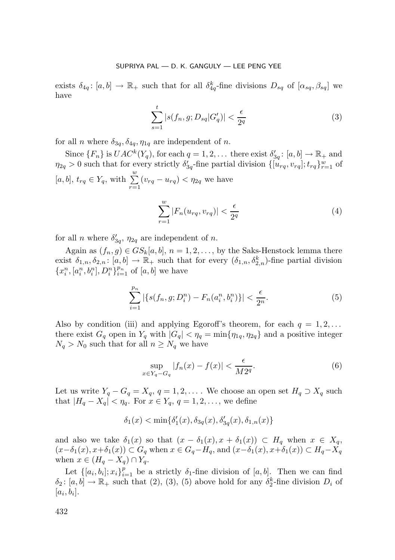exists  $\delta_{4q}$ :  $[a, b] \to \mathbb{R}_+$  such that for all  $\delta_{4q}^k$ -fine divisions  $D_{sq}$  of  $[\alpha_{sq}, \beta_{sq}]$  we have

$$
\sum_{s=1}^{t} |s(f_n, g; D_{sq}|G'_q)| < \frac{\epsilon}{2^q} \tag{3}
$$

for all *n* where  $\delta_{3q}$ ,  $\delta_{4q}$ ,  $\eta_{1q}$  are independent of *n*.

Since  $\{F_n\}$  is  $UAC^k(Y_q)$ , for each  $q = 1, 2, \ldots$  there exist  $\delta'_{3q} \colon [a, b] \to \mathbb{R}_+$  and  $\eta_{2q} > 0$  such that for every strictly  $\delta'_{3q}$ -fine partial division  $\{[u_{rq}, v_{rq}]; t_{rq}\}_{r=1}^w$  of [a, b],  $t_{rq} \in Y_q$ , with  $\sum_{r=1}^{w} (v_{rq} - u_{rq}) < \eta_{2q}$  we have

$$
\sum_{r=1}^{w} |F_n(u_{rq}, v_{rq})| < \frac{\epsilon}{2^q} \tag{4}
$$

for all *n* where  $\delta'_{3q}$ ,  $\eta_{2q}$  are independent of *n*.

Again as  $(f_n, g) \in GS_k[a, b], n = 1, 2, \ldots$ , by the Saks-Henstock lemma there exist  $\delta_{1,n}, \delta_{2,n}$ :  $[a, b] \to \mathbb{R}_+$  such that for every  $(\delta_{1,n}, \delta_{2,n}^k)$ -fine partial division  ${x_i^n, [a_i^n, b_i^n], D_i^n}_{i=1}^{p_n}$  of  $[a, b]$  we have

$$
\sum_{i=1}^{p_n} |\{s(f_n, g; D_i^n) - F_n(a_i^n, b_i^n)\}| < \frac{\epsilon}{2^n}.
$$
 (5)

Also by condition (iii) and applying Egoroff's theorem, for each  $q = 1, 2, \ldots$ there exist  $G_q$  open in  $Y_q$  with  $|G_q| < \eta_q = \min\{\eta_{1q}, \eta_{2q}\}\$  and a positive integer  $N_q > N_0$  such that for all  $n \geq N_q$  we have

$$
\sup_{x \in Y_q - G_q} |f_n(x) - f(x)| < \frac{\epsilon}{M 2^q}.\tag{6}
$$

Let us write  $Y_q - G_q = X_q$ ,  $q = 1, 2, \ldots$ . We choose an open set  $H_q \supset X_q$  such that  $|H_q - X_q| < \eta_q$ . For  $x \in Y_q$ ,  $q = 1, 2, \ldots$ , we define

$$
\delta_1(x)<\min\{\delta_1'(x),\delta_{3q}(x),\delta_{3q}'(x),\delta_{1,n}(x)\}
$$

and also we take  $\delta_1(x)$  so that  $(x - \delta_1(x), x + \delta_1(x)) \subset H_q$  when  $x \in X_q$ ,  $(x-\delta_1(x), x+\delta_1(x)) \subset G_q$  when  $x \in G_q-H_q$ , and  $(x-\delta_1(x), x+\delta_1(x)) \subset H_q-X_q$ when  $x \in (H_q - X_q) \cap Y_q$ .

Let  $\{[a_i, b_i]; x_i\}_{i=1}^p$  be a strictly  $\delta_1$ -fine division of  $[a, b]$ . Then we can find  $\delta_2: [a, b] \to \mathbb{R}_+$  such that (2), (3), (5) above hold for any  $\delta_2^k$ -fine division  $D_i$  of  $[a_i, b_i].$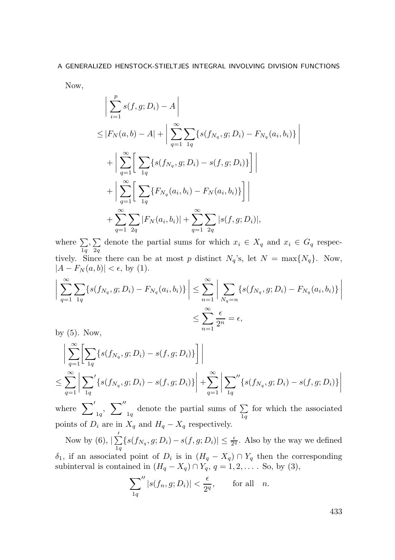Now,

$$
\left| \sum_{i=1}^{p} s(f, g; D_i) - A \right|
$$
  
\n
$$
\leq |F_N(a, b) - A| + \left| \sum_{q=1}^{\infty} \sum_{1q} \{ s(f_{N_q}, g; D_i) - F_{N_q}(a_i, b_i) \} + \left| \sum_{q=1}^{\infty} \left[ \sum_{1q} \{ s(f_{N_q}, g; D_i) - s(f, g; D_i) \} \right] \right|
$$
  
\n
$$
+ \left| \sum_{q=1}^{\infty} \left[ \sum_{1q} \{ F_{N_q}(a_i, b_i) - F_N(a_i, b_i) \} \right] \right|
$$
  
\n
$$
+ \sum_{q=1}^{\infty} \sum_{2q} |F_N(a_i, b_i)| + \sum_{q=1}^{\infty} \sum_{2q} |s(f, g; D_i)|,
$$

 $\begin{array}{c} \hline \end{array}$  $\overline{\phantom{a}}$  $\overline{\phantom{a}}$  $\overline{\phantom{a}}$ 

where  $\sum$  $_{1q}$  $,\sum$  $\sum_{2q}$  denote the partial sums for which  $x_i \in X_q$  and  $x_i \in G_q$  respectively. Since there can be at most p distinct  $N_q$ 's, let  $N = \max\{N_q\}$ . Now,  $|A - F_N(a, b)| < \epsilon$ , by (1).

$$
\left| \sum_{q=1}^{\infty} \sum_{1q} \{ s(f_{N_q}, g; D_i) - F_{N_q}(a_i, b_i) \} \right| \leq \sum_{n=1}^{\infty} \left| \sum_{N_q=n} \{ s(f_{N_q}, g; D_i) - F_{N_q}(a_i, b_i) \} \right|
$$
  

$$
\leq \sum_{n=1}^{\infty} \frac{\epsilon}{2^n} = \epsilon,
$$

by (5). Now,

$$
\left| \sum_{q=1}^{\infty} \left[ \sum_{1q} \{ s(f_{N_q}, g; D_i) - s(f, g; D_i) \} \right] \right|
$$
  

$$
\leq \sum_{q=1}^{\infty} \left| \sum_{1q} \{ s(f_{N_q}, g; D_i) - s(f, g; D_i) \} \right| + \sum_{q=1}^{\infty} \left| \sum_{1q} \{ s(f_{N_q}, g; D_i) - s(f, g; D_i) \} \right|
$$

where  $\sum'_{1q}$ ,  $\sum''$  $_{1q}$  denote the partial sums of  $\sum_{1q}$  $1q$ for which the associated points of  $\overrightarrow{D_i}$  are in  $\overrightarrow{X_q}$  and  $H_q - X_q$  respectively.

Now by  $(6), |\sum'$  $\sum_{i,q} \{s(f_{N_q}, g; D_i) - s(f, g; D_i) | \leq \frac{\epsilon}{2^q}$ . Also by the way we defined

 $\delta_1$ , if an associated point of  $D_i$  is in  $(H_q - X_q) \cap Y_q$  then the corresponding subinterval is contained in  $(H_q - X_q) \cap Y_q$ ,  $q = 1, 2, \ldots$ . So, by (3),

$$
\sum_{1q}'' |s(f_n, g; D_i)| < \frac{\epsilon}{2^q}, \qquad \text{for all} \quad n.
$$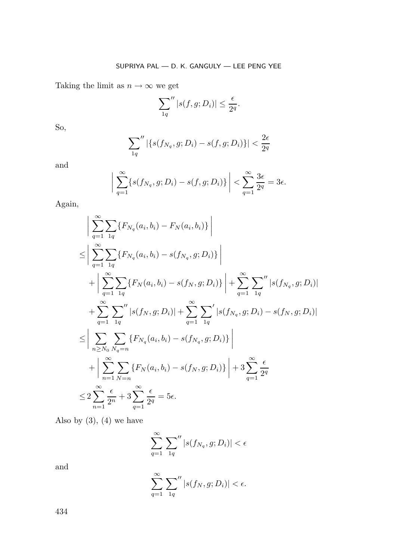Taking the limit as  $n \to \infty$  we get

$$
\sum_{1q}'' |s(f,g;D_i)| \leq \frac{\epsilon}{2^q}.
$$

So,

$$
\sum_{1q}'' |\{s(f_{N_q}, g; D_i) - s(f, g; D_i)\}| < \frac{2\epsilon}{2^q}
$$

and

$$
\left| \sum_{q=1}^{\infty} \{s(f_{N_q}, g; D_i) - s(f, g; D_i)\} \right| < \sum_{q=1}^{\infty} \frac{3\epsilon}{2^q} = 3\epsilon.
$$

Again,

$$
\left| \sum_{q=1}^{\infty} \sum_{1q} \{ F_{N_q}(a_i, b_i) - F_N(a_i, b_i) \} \right|
$$
  
\n
$$
\leq \left| \sum_{q=1}^{\infty} \sum_{1q} \{ F_{N_q}(a_i, b_i) - s(f_{N_q}, g; D_i) \} \right|
$$
  
\n
$$
+ \left| \sum_{q=1}^{\infty} \sum_{1q} \{ F_N(a_i, b_i) - s(f_N, g; D_i) \} \right| + \sum_{q=1}^{\infty} \sum_{1q} \left| s(f_{N_q}, g; D_i) \right|
$$
  
\n
$$
+ \sum_{q=1}^{\infty} \sum_{1q} \left| s(f_N, g; D_i) \right| + \sum_{q=1}^{\infty} \sum_{1q} \left| s(f_{N_q}, g; D_i) - s(f_N, g; D_i) \right|
$$
  
\n
$$
\leq \left| \sum_{n \geq N_0} \sum_{N_q = n} \{ F_{N_q}(a_i, b_i) - s(f_{N_q}, g; D_i) \} \right|
$$
  
\n
$$
+ \left| \sum_{n=1}^{\infty} \sum_{N=n} \{ F_N(a_i, b_i) - s(f_N, g; D_i) \} \right| + 3 \sum_{q=1}^{\infty} \frac{\epsilon}{2^q}
$$
  
\n
$$
\leq 2 \sum_{n=1}^{\infty} \frac{\epsilon}{2^n} + 3 \sum_{q=1}^{\infty} \frac{\epsilon}{2^q} = 5\epsilon.
$$

Also by  $(3)$ ,  $(4)$  we have

$$
\sum_{q=1}^{\infty} \sum_{1q}^{\prime\prime} |s(f_{N_q}, g; D_i)| < \epsilon
$$

and

$$
\sum_{q=1}^{\infty} \sum_{1q}^{\prime\prime} |s(f_N, g; D_i)| < \epsilon.
$$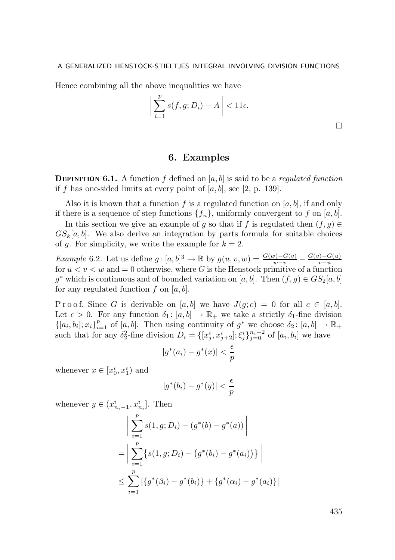Hence combining all the above inequalities we have

$$
\left| \sum_{i=1}^{p} s(f, g; D_i) - A \right| < 11\epsilon.
$$

# 6. Examples

**DEFINITION 6.1.** A function f defined on  $[a, b]$  is said to be a *regulated function* if f has one-sided limits at every point of  $[a, b]$ , see [2, p. 139].

Also it is known that a function f is a regulated function on  $[a, b]$ , if and only if there is a sequence of step functions  $\{f_n\}$ , uniformly convergent to f on [a, b].

In this section we give an example of g so that if f is regulated then  $(f,g) \in$  $GS<sub>k</sub>[a, b]$ . We also derive an integration by parts formula for suitable choices of g. For simplicity, we write the example for  $k = 2$ .

Example 6.2. Let us define  $g: [a, b]^3 \to \mathbb{R}$  by  $g(u, v, w) = \frac{G(w) - G(v)}{w - v} - \frac{G(v) - G(u)}{v - u}$ Figure 6.2. Example 6.2. Example  $y \cdot [u, v]$   $\rightarrow \infty$  by  $y(u, v, w) = v - v$ <br>for  $u < v < w$  and = 0 otherwise, where G is the Henstock primitive of a function g<sup>\*</sup> which is continuous and of bounded variation on [a, b]. Then  $(f, g) \in GS_2[a, b]$ for any regulated function f on  $[a, b]$ .

P r o o f. Since G is derivable on [a, b] we have  $J(q; c) = 0$  for all  $c \in [a, b]$ . Let  $\epsilon > 0$ . For any function  $\delta_1 : [a, b] \to \mathbb{R}_+$  we take a strictly  $\delta_1$ -fine division  $\{[a_i, b_i]; x_i\}_{i=1}^p$  of  $[a, b]$ . Then using continuity of  $g^*$  we choose  $\delta_2$ :  $[a, b] \to \mathbb{R}_+$ such that for any  $\delta_2^2$ -fine division  $D_i = \{[x_j^i, x_{j+2}^i]; \xi_j^i\}_{j=0}^{n_i-2}$  of  $[a_i, b_i]$  we have

$$
|g^*(a_i) - g^*(x)| < \frac{\epsilon}{p}
$$

whenever  $x \in [x_0^i, x_1^i)$  and

$$
|g^*(b_i) - g^*(y)| < \frac{\epsilon}{p}
$$

whenever  $y \in (x_{n_i-1}^i, x_{n_i}^i]$ . Then

$$
\left| \sum_{i=1}^{p} s(1, g; D_i) - (g^*(b) - g^*(a)) \right|
$$
  
= 
$$
\left| \sum_{i=1}^{p} \left\{ s(1, g; D_i) - (g^*(b_i) - g^*(a_i)) \right\} \right|
$$
  

$$
\leq \sum_{i=1}^{p} \left| \left\{ g^*(\beta_i) - g^*(b_i) \right\} + \left\{ g^*(\alpha_i) - g^*(a_i) \right\} \right|
$$

435

 $\Box$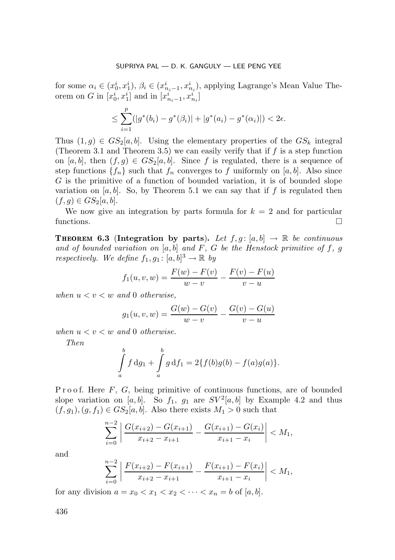for some  $\alpha_i \in (x_0^i, x_1^i), \beta_i \in (x_{n_i-1}^i, x_{n_i}^i)$ , applying Lagrange's Mean Value Theorem on G in  $[x_0^i, x_1^i]$  and in  $[x_{n_i-1}^i, x_{n_i}^i]$ 

$$
\leq \sum_{i=1}^p (|g^*(b_i) - g^*(\beta_i)| + |g^*(a_i) - g^*(\alpha_i)|) < 2\epsilon.
$$

Thus  $(1, q) \in GS_2[a, b]$ . Using the elementary properties of the  $GS_k$  integral (Theorem 3.1 and Theorem 3.5) we can easily verify that if  $f$  is a step function on [a, b], then  $(f,g) \in GS_2[a,b]$ . Since f is regulated, there is a sequence of step functions  $\{f_n\}$  such that  $f_n$  converges to f uniformly on [a, b]. Also since G is the primitive of a function of bounded variation, it is of bounded slope variation on  $[a, b]$ . So, by Theorem 5.1 we can say that if f is regulated then  $(f,g) \in GS_2[a,b].$ 

We now give an integration by parts formula for  $k = 2$  and for particular functions.  $\Box$ 

**THEOREM 6.3** (Integration by parts). Let  $f, g : [a, b] \rightarrow \mathbb{R}$  be continuous and of bounded variation on  $[a, b]$  and F, G be the Henstock primitive of f, g respectively. We define  $f_1, g_1 : [a, b]^3 \to \mathbb{R}$  by

$$
f_1(u, v, w) = \frac{F(w) - F(v)}{w - v} - \frac{F(v) - F(u)}{v - u}
$$

when  $u < v < w$  and 0 otherwise,

$$
g_1(u, v, w) = \frac{G(w) - G(v)}{w - v} - \frac{G(v) - G(u)}{v - u}
$$

when  $u < v < w$  and 0 otherwise.

Then

$$
\int_{a}^{b} f \, dg_1 + \int_{a}^{b} g \, df_1 = 2\{f(b)g(b) - f(a)g(a)\}.
$$

Proof. Here  $F$ ,  $G$ , being primitive of continuous functions, are of bounded slope variation on [a, b]. So  $f_1$ ,  $g_1$  are  $SV^2[a, b]$  by Example 4.2 and thus  $(f,g_1),(g,f_1)\in GS_2[a,b].$  Also there exists  $M_1>0$  such that

$$
\sum_{i=0}^{n-2} \left| \frac{G(x_{i+2}) - G(x_{i+1})}{x_{i+2} - x_{i+1}} - \frac{G(x_{i+1}) - G(x_i)}{x_{i+1} - x_i} \right| < M_1,
$$

and

$$
\sum_{i=0}^{n-2} \left| \frac{F(x_{i+2}) - F(x_{i+1})}{x_{i+2} - x_{i+1}} - \frac{F(x_{i+1}) - F(x_i)}{x_{i+1} - x_i} \right| < M_1,
$$

for any division  $a = x_0 < x_1 < x_2 < \cdots < x_n = b$  of  $[a, b]$ .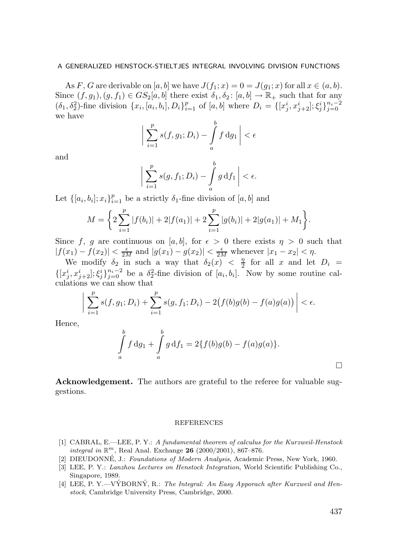As F, G are derivable on [a, b] we have  $J(f_1; x)=0=J(g_1; x)$  for all  $x \in (a, b)$ . Since  $(f, g_1), (g, f_1) \in GS_2[a, b]$  there exist  $\delta_1, \delta_2 : [a, b] \to \mathbb{R}_+$  such that for any  $(\delta_1, \delta_2^2)$ -fine division  $\{x_i, [a_i, b_i], D_i\}_{i=1}^p$  of  $[a, b]$  where  $D_i = \{[x_j^i, x_{j+2}^i]; \xi_j^i\}_{j=0}^{n_i-2}$ we have

$$
\bigg|\sum_{i=1}^p s(f,g_1;D_i) - \int_a^b f \,\mathrm{d}g_1\bigg| < \epsilon
$$

and

$$
\bigg|\sum_{i=1}^p s(g, f_1; D_i) - \int_a^b g \, df_1\bigg| < \epsilon.
$$

Let  $\{[a_i, b_i]; x_i\}_{i=1}^p$  be a strictly  $\delta_1$ -fine division of  $[a, b]$  and

$$
M = \left\{ 2\sum_{i=1}^{p} |f(b_i)| + 2|f(a_1)| + 2\sum_{i=1}^{p} |g(b_i)| + 2|g(a_1)| + M_1 \right\}.
$$

Since f, g are continuous on [a, b], for  $\epsilon > 0$  there exists  $\eta > 0$  such that  $|f(x_1) - f(x_2)| < \frac{\epsilon}{2M}$  and  $|g(x_1) - g(x_2)| < \frac{\epsilon}{2M}$  whenever  $|x_1 - x_2| < \eta$ .

We modify  $\delta_2$  in such a way that  $\delta_2(x) < \frac{\eta}{2}$  $\frac{\eta}{2}$  for all x and let  $D_i =$  $\{[x_j^i, x_{j+2}^i]; \xi_j^i\}_{j=0}^{n_i-2}$  be a  $\delta_2^2$ -fine division of  $[a_i, b_i]$ . Now by some routine calculations we can show that

$$
\left| \sum_{i=1}^{p} s(f, g_1; D_i) + \sum_{i=1}^{p} s(g, f_1; D_i) - 2(f(b)g(b) - f(a)g(a)) \right| < \epsilon.
$$

Hence,

$$
\int_{a}^{b} f \, dg_1 + \int_{a}^{b} g \, df_1 = 2\{f(b)g(b) - f(a)g(a)\}.
$$

Acknowledgement. The authors are grateful to the referee for valuable suggestions.

#### REFERENCES

- [1] CABRAL, E.—LEE, P. Y.: A fundamental theorem of calculus for the Kurzweil-Henstock integral in  $\mathbb{R}^m$ , Real Anal. Exchange 26 (2000/2001), 867-876.
- [2] DIEUDONNE, J.: Foundations of Modern Analysis, Academic Press, New York, 1960.
- [3] LEE, P. Y.: Lanzhou Lectures on Henstock Integration, World Scientific Publishing Co., Singapore, 1989.
- [4] LEE, P. Y.—VYBORNY, R.: The Integral: An Easy Apporach after Kurzweil and Henstock, Cambridge University Press, Cambridge, 2000.

 $\Box$